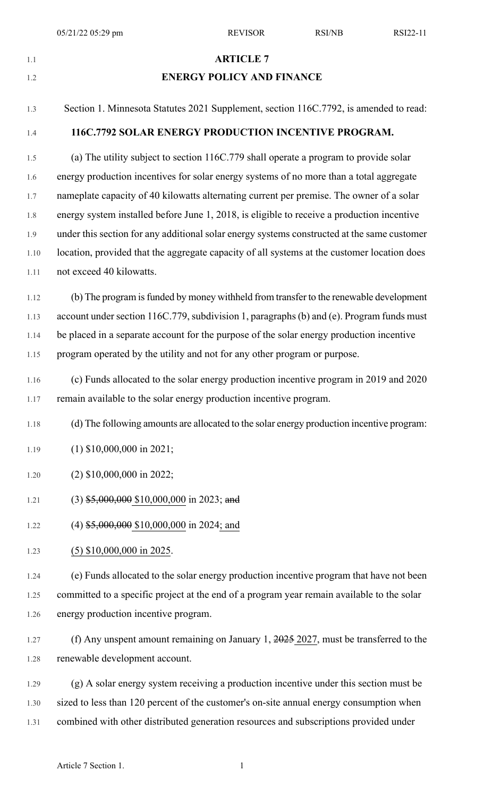## 1.1 **ARTICLE 7**

## 1.2 **ENERGY POLICY AND FINANCE**

1.3 Section 1. Minnesota Statutes 2021 Supplement, section 116C.7792, is amended to read:

#### 1.4 **116C.7792 SOLAR ENERGY PRODUCTION INCENTIVE PROGRAM.**

1.5 (a) The utility subject to section 116C.779 shall operate a program to provide solar 1.6 energy production incentives for solar energy systems of no more than a total aggregate 1.7 nameplate capacity of 40 kilowatts alternating current per premise. The owner of a solar 1.8 energy system installed before June 1, 2018, is eligible to receive a production incentive 1.9 under this section for any additional solar energy systems constructed at the same customer 1.10 location, provided that the aggregate capacity of all systems at the customer location does 1.11 not exceed 40 kilowatts.

1.12 (b) The program is funded by money withheld from transfer to the renewable development 1.13 account under section 116C.779, subdivision 1, paragraphs (b) and (e). Program funds must 1.14 be placed in a separate account for the purpose of the solar energy production incentive 1.15 program operated by the utility and not for any other program or purpose.

1.16 (c) Funds allocated to the solar energy production incentive program in 2019 and 2020 1.17 remain available to the solar energy production incentive program.

1.18 (d) The following amounts are allocated to the solar energy production incentive program:

- 1.19 (1) \$10,000,000 in 2021;
- 1.20 (2) \$10,000,000 in 2022;
- 1.21 (3) \$5,000,000 \$10,000,000 in 2023; and
- 1.22 (4) \$5,000,000 \$10,000,000 in 2024; and
- 1.23 (5) \$10,000,000 in 2025.

1.24 (e) Funds allocated to the solar energy production incentive program that have not been 1.25 committed to a specific project at the end of a program year remain available to the solar 1.26 energy production incentive program.

- 1.27 (f) Any unspent amount remaining on January 1, 2025 2027, must be transferred to the 1.28 renewable development account.
- 1.29 (g) A solar energy system receiving a production incentive under this section must be 1.30 sized to less than 120 percent of the customer's on-site annual energy consumption when 1.31 combined with other distributed generation resources and subscriptions provided under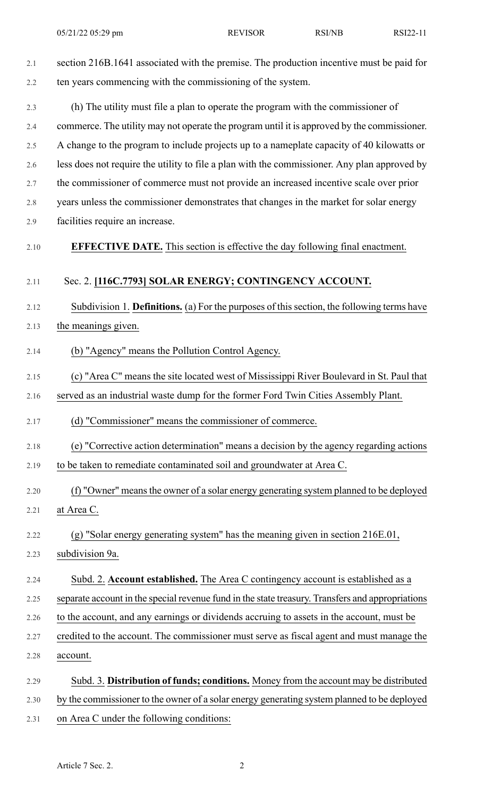| 2.1  | section 216B.1641 associated with the premise. The production incentive must be paid for         |
|------|--------------------------------------------------------------------------------------------------|
| 2.2  | ten years commencing with the commissioning of the system.                                       |
| 2.3  | (h) The utility must file a plan to operate the program with the commissioner of                 |
| 2.4  | commerce. The utility may not operate the program until it is approved by the commissioner.      |
| 2.5  | A change to the program to include projects up to a nameplate capacity of 40 kilowatts or        |
| 2.6  | less does not require the utility to file a plan with the commissioner. Any plan approved by     |
| 2.7  | the commissioner of commerce must not provide an increased incentive scale over prior            |
| 2.8  | years unless the commissioner demonstrates that changes in the market for solar energy           |
| 2.9  | facilities require an increase.                                                                  |
| 2.10 | <b>EFFECTIVE DATE.</b> This section is effective the day following final enactment.              |
| 2.11 | Sec. 2. [116C.7793] SOLAR ENERGY; CONTINGENCY ACCOUNT.                                           |
| 2.12 | Subdivision 1. Definitions. (a) For the purposes of this section, the following terms have       |
| 2.13 | the meanings given.                                                                              |
| 2.14 | (b) "Agency" means the Pollution Control Agency.                                                 |
| 2.15 | (c) "Area C" means the site located west of Mississippi River Boulevard in St. Paul that         |
| 2.16 | served as an industrial waste dump for the former Ford Twin Cities Assembly Plant.               |
| 2.17 | (d) "Commissioner" means the commissioner of commerce.                                           |
| 2.18 | (e) "Corrective action determination" means a decision by the agency regarding actions           |
| 2.19 | to be taken to remediate contaminated soil and groundwater at Area C.                            |
| 2.20 | (f) "Owner" means the owner of a solar energy generating system planned to be deployed           |
| 2.21 | at Area C.                                                                                       |
| 2.22 | (g) "Solar energy generating system" has the meaning given in section 216E.01,                   |
| 2.23 | subdivision 9a.                                                                                  |
| 2.24 | Subd. 2. Account established. The Area C contingency account is established as a                 |
| 2.25 | separate account in the special revenue fund in the state treasury. Transfers and appropriations |
| 2.26 | to the account, and any earnings or dividends accruing to assets in the account, must be         |
| 2.27 | credited to the account. The commissioner must serve as fiscal agent and must manage the         |
| 2.28 | account.                                                                                         |
| 2.29 | Subd. 3. Distribution of funds; conditions. Money from the account may be distributed            |
| 2.30 | by the commissioner to the owner of a solar energy generating system planned to be deployed      |

2.31 on Area C under the following conditions: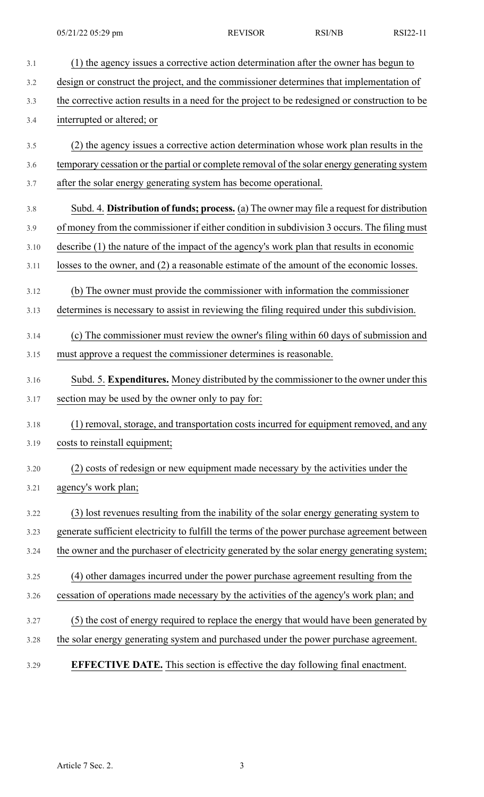| 3.1  | (1) the agency issues a corrective action determination after the owner has begun to           |
|------|------------------------------------------------------------------------------------------------|
| 3.2  | design or construct the project, and the commissioner determines that implementation of        |
| 3.3  | the corrective action results in a need for the project to be redesigned or construction to be |
| 3.4  | interrupted or altered; or                                                                     |
| 3.5  | (2) the agency issues a corrective action determination whose work plan results in the         |
| 3.6  | temporary cessation or the partial or complete removal of the solar energy generating system   |
| 3.7  | after the solar energy generating system has become operational.                               |
|      |                                                                                                |
| 3.8  | Subd. 4. Distribution of funds; process. (a) The owner may file a request for distribution     |
| 3.9  | of money from the commissioner if either condition in subdivision 3 occurs. The filing must    |
| 3.10 | describe (1) the nature of the impact of the agency's work plan that results in economic       |
| 3.11 | losses to the owner, and (2) a reasonable estimate of the amount of the economic losses.       |
| 3.12 | (b) The owner must provide the commissioner with information the commissioner                  |
| 3.13 | determines is necessary to assist in reviewing the filing required under this subdivision.     |
| 3.14 | (c) The commissioner must review the owner's filing within 60 days of submission and           |
| 3.15 | must approve a request the commissioner determines is reasonable.                              |
|      |                                                                                                |
| 3.16 | Subd. 5. Expenditures. Money distributed by the commissioner to the owner under this           |
| 3.17 | section may be used by the owner only to pay for:                                              |
| 3.18 | (1) removal, storage, and transportation costs incurred for equipment removed, and any         |
| 3.19 | costs to reinstall equipment;                                                                  |
| 3.20 | (2) costs of redesign or new equipment made necessary by the activities under the              |
| 3.21 | agency's work plan;                                                                            |
|      |                                                                                                |
| 3.22 | (3) lost revenues resulting from the inability of the solar energy generating system to        |
| 3.23 | generate sufficient electricity to fulfill the terms of the power purchase agreement between   |
| 3.24 | the owner and the purchaser of electricity generated by the solar energy generating system;    |
| 3.25 | (4) other damages incurred under the power purchase agreement resulting from the               |
| 3.26 | cessation of operations made necessary by the activities of the agency's work plan; and        |
| 3.27 | (5) the cost of energy required to replace the energy that would have been generated by        |
| 3.28 | the solar energy generating system and purchased under the power purchase agreement.           |
|      |                                                                                                |
| 3.29 | <b>EFFECTIVE DATE.</b> This section is effective the day following final enactment.            |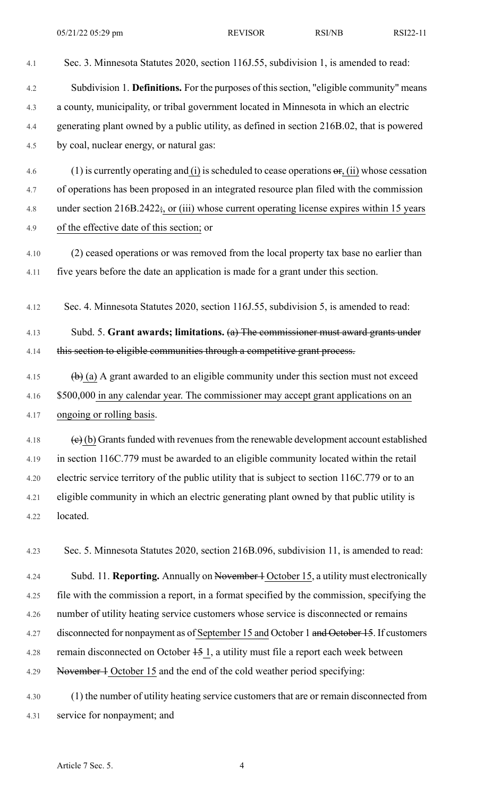4.1 Sec. 3. Minnesota Statutes 2020, section 116J.55, subdivision 1, is amended to read:

| 4.2  | Subdivision 1. Definitions. For the purposes of this section, "eligible community" means                             |
|------|----------------------------------------------------------------------------------------------------------------------|
| 4.3  | a county, municipality, or tribal government located in Minnesota in which an electric                               |
| 4.4  | generating plant owned by a public utility, as defined in section 216B.02, that is powered                           |
| 4.5  | by coal, nuclear energy, or natural gas:                                                                             |
| 4.6  | (1) is currently operating and (i) is scheduled to cease operations $\sigma$ , (ii) whose cessation                  |
| 4.7  | of operations has been proposed in an integrated resource plan filed with the commission                             |
| 4.8  | under section $216B.2422$ ; or (iii) whose current operating license expires within 15 years                         |
| 4.9  | of the effective date of this section; or                                                                            |
| 4.10 | (2) ceased operations or was removed from the local property tax base no earlier than                                |
| 4.11 | five years before the date an application is made for a grant under this section.                                    |
| 4.12 | Sec. 4. Minnesota Statutes 2020, section 116J.55, subdivision 5, is amended to read:                                 |
| 4.13 | Subd. 5. Grant awards; limitations. $(a)$ The commissioner must award grants under                                   |
| 4.14 | this section to eligible communities through a competitive grant process.                                            |
| 4.15 | $\left(\frac{b}{c}\right)$ (a) A grant awarded to an eligible community under this section must not exceed           |
| 4.16 | \$500,000 in any calendar year. The commissioner may accept grant applications on an                                 |
| 4.17 | ongoing or rolling basis.                                                                                            |
| 4.18 | $\left(\frac{1}{\epsilon}\right)$ (b) Grants funded with revenues from the renewable development account established |
| 4.19 | in section 116C.779 must be awarded to an eligible community located within the retail                               |
| 4.20 | electric service territory of the public utility that is subject to section 116C.779 or to an                        |
| 4.21 | eligible community in which an electric generating plant owned by that public utility is                             |
| 4.22 | located.                                                                                                             |
| 4.23 | Sec. 5. Minnesota Statutes 2020, section 216B.096, subdivision 11, is amended to read:                               |
| 4.24 | Subd. 11. Reporting. Annually on November 4 October 15, a utility must electronically                                |
| 4.25 | file with the commission a report, in a format specified by the commission, specifying the                           |
| 4.26 | number of utility heating service customers whose service is disconnected or remains                                 |
| 4.27 | disconnected for nonpayment as of September 15 and October 1 and October 15. If customers                            |
| 4.28 | remain disconnected on October $15 \overline{1}$ , a utility must file a report each week between                    |
| 4.29 | November 1 October 15 and the end of the cold weather period specifying:                                             |
| 4.30 | (1) the number of utility heating service customers that are or remain disconnected from                             |
| 4.31 | service for nonpayment; and                                                                                          |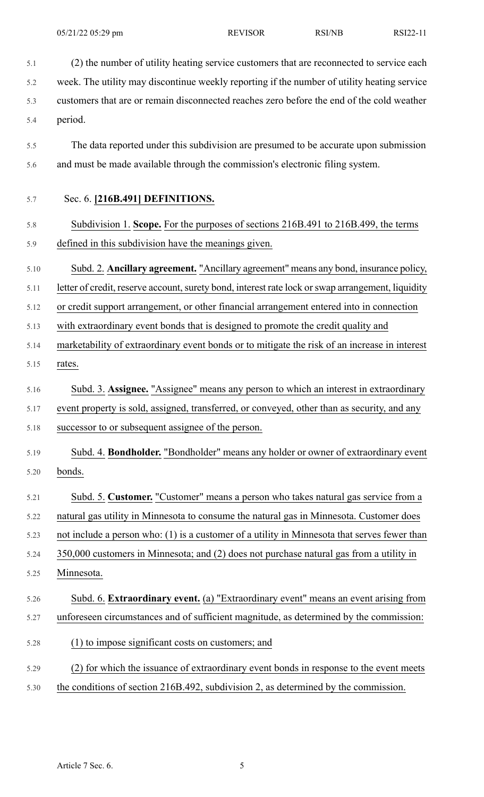| 5.1  | (2) the number of utility heating service customers that are reconnected to service each          |
|------|---------------------------------------------------------------------------------------------------|
| 5.2  | week. The utility may discontinue weekly reporting if the number of utility heating service       |
| 5.3  | customers that are or remain disconnected reaches zero before the end of the cold weather         |
| 5.4  | period.                                                                                           |
| 5.5  | The data reported under this subdivision are presumed to be accurate upon submission              |
| 5.6  | and must be made available through the commission's electronic filing system.                     |
| 5.7  | Sec. 6. [216B.491] DEFINITIONS.                                                                   |
| 5.8  | Subdivision 1. Scope. For the purposes of sections 216B.491 to 216B.499, the terms                |
| 5.9  | defined in this subdivision have the meanings given.                                              |
| 5.10 | Subd. 2. Ancillary agreement. "Ancillary agreement" means any bond, insurance policy,             |
| 5.11 | letter of credit, reserve account, surety bond, interest rate lock or swap arrangement, liquidity |
| 5.12 | or credit support arrangement, or other financial arrangement entered into in connection          |
| 5.13 | with extraordinary event bonds that is designed to promote the credit quality and                 |
| 5.14 | marketability of extraordinary event bonds or to mitigate the risk of an increase in interest     |
| 5.15 | rates.                                                                                            |
| 5.16 | Subd. 3. Assignee. "Assignee" means any person to which an interest in extraordinary              |
| 5.17 | event property is sold, assigned, transferred, or conveyed, other than as security, and any       |
| 5.18 | successor to or subsequent assignee of the person.                                                |
| 5.19 | Subd. 4. <b>Bondholder.</b> "Bondholder" means any holder or owner of extraordinary event         |
| 5.20 | bonds.                                                                                            |
| 5.21 | Subd. 5. Customer. "Customer" means a person who takes natural gas service from a                 |
| 5.22 | natural gas utility in Minnesota to consume the natural gas in Minnesota. Customer does           |
| 5.23 | not include a person who: (1) is a customer of a utility in Minnesota that serves fewer than      |
| 5.24 | 350,000 customers in Minnesota; and (2) does not purchase natural gas from a utility in           |
| 5.25 | Minnesota.                                                                                        |
| 5.26 | Subd. 6. Extraordinary event. (a) "Extraordinary event" means an event arising from               |
| 5.27 | unforeseen circumstances and of sufficient magnitude, as determined by the commission:            |
| 5.28 | (1) to impose significant costs on customers; and                                                 |
| 5.29 | (2) for which the issuance of extraordinary event bonds in response to the event meets            |
| 5.30 | the conditions of section 216B.492, subdivision 2, as determined by the commission.               |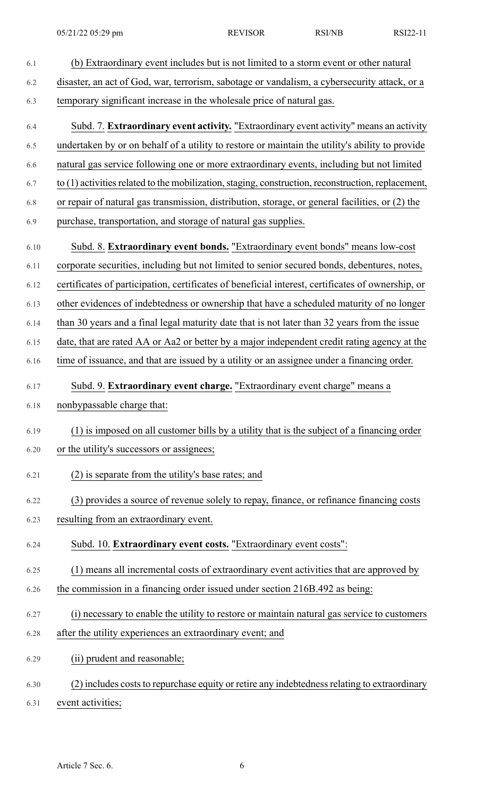6.1 (b) Extraordinary event includes but is not limited to a storm event or other natural 6.2 disaster, an act of God, war, terrorism, sabotage or vandalism, a cybersecurity attack, or a 6.3 temporary significant increase in the wholesale price of natural gas. 6.4 Subd. 7. **Extraordinary event activity.** "Extraordinary event activity" means an activity 6.5 undertaken by or on behalf of a utility to restore or maintain the utility's ability to provide 6.6 natural gas service following one or more extraordinary events, including but not limited  $6.7$  to (1) activities related to the mobilization, staging, construction, reconstruction, replacement, 6.8 or repair of natural gas transmission, distribution, storage, or general facilities, or (2) the 6.9 purchase, transportation, and storage of natural gas supplies. 6.10 Subd. 8. **Extraordinary event bonds.** "Extraordinary event bonds" means low-cost 6.11 corporate securities, including but not limited to senior secured bonds, debentures, notes, 6.12 certificates of participation, certificates of beneficial interest, certificates of ownership, or 6.13 other evidences of indebtedness or ownership that have a scheduled maturity of no longer 6.14 than 30 years and a final legal maturity date that is not later than 32 years from the issue 6.15 date, that are rated AA or Aa2 or better by a major independent credit rating agency at the 6.16 time of issuance, and that are issued by a utility or an assignee under a financing order. 6.17 Subd. 9. **Extraordinary event charge.** "Extraordinary event charge" means a 6.18 nonbypassable charge that: 6.19 (1) is imposed on all customer bills by a utility that is the subject of a financing order 6.20 or the utility's successors or assignees; 6.21 (2) is separate from the utility's base rates; and 6.22 (3) provides a source of revenue solely to repay, finance, or refinance financing costs 6.23 resulting from an extraordinary event. 6.24 Subd. 10. **Extraordinary event costs.** "Extraordinary event costs": 6.25 (1) means all incremental costs of extraordinary event activities that are approved by 6.26 the commission in a financing order issued under section 216B.492 as being: 6.27 (i) necessary to enable the utility to restore or maintain natural gas service to customers 6.28 after the utility experiences an extraordinary event; and 6.29 (ii) prudent and reasonable; 6.30 (2) includes costs to repurchase equity or retire any indebtedness relating to extraordinary

6.31 event activities;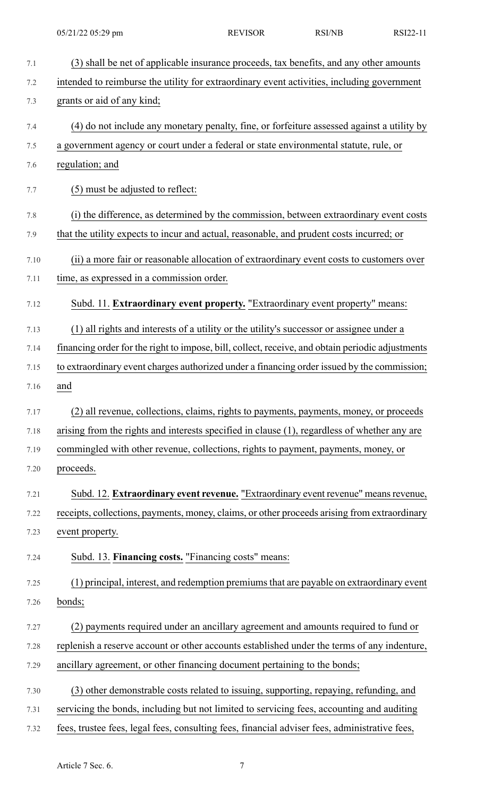7.1 (3) shall be net of applicable insurance proceeds, tax benefits, and any other amounts 7.2 intended to reimburse the utility for extraordinary event activities, including government 7.3 grants or aid of any kind; 7.4 (4) do not include any monetary penalty, fine, or forfeiture assessed against a utility by 7.5 a government agency or court under a federal or state environmental statute, rule, or 7.6 regulation; and 7.7 (5) must be adjusted to reflect: 7.8 (i) the difference, as determined by the commission, between extraordinary event costs 7.9 that the utility expects to incur and actual, reasonable, and prudent costs incurred; or 7.10 (ii) a more fair or reasonable allocation of extraordinary event costs to customers over 7.11 time, as expressed in a commission order. 7.12 Subd. 11. **Extraordinary event property.** "Extraordinary event property" means: 7.13 (1) all rights and interests of a utility or the utility's successor or assignee under a 7.14 financing order for the right to impose, bill, collect, receive, and obtain periodic adjustments 7.15 to extraordinary event charges authorized under a financing order issued by the commission; 7.16 and 7.17 (2) all revenue, collections, claims, rights to payments, payments, money, or proceeds 7.18 arising from the rights and interests specified in clause (1), regardless of whether any are 7.19 commingled with other revenue, collections, rights to payment, payments, money, or 7.20 proceeds. 7.21 Subd. 12. **Extraordinary event revenue.** "Extraordinary event revenue" meansrevenue, 7.22 receipts, collections, payments, money, claims, or other proceeds arising from extraordinary 7.23 event property. 7.24 Subd. 13. **Financing costs.** "Financing costs" means: 7.25 (1) principal, interest, and redemption premiumsthat are payable on extraordinary event 7.26 bonds; 7.27 (2) payments required under an ancillary agreement and amounts required to fund or 7.28 replenish a reserve account or other accounts established under the terms of any indenture, 7.29 ancillary agreement, or other financing document pertaining to the bonds; 7.30 (3) other demonstrable costs related to issuing, supporting, repaying, refunding, and 7.31 servicing the bonds, including but not limited to servicing fees, accounting and auditing 7.32 fees, trustee fees, legal fees, consulting fees, financial adviser fees, administrative fees,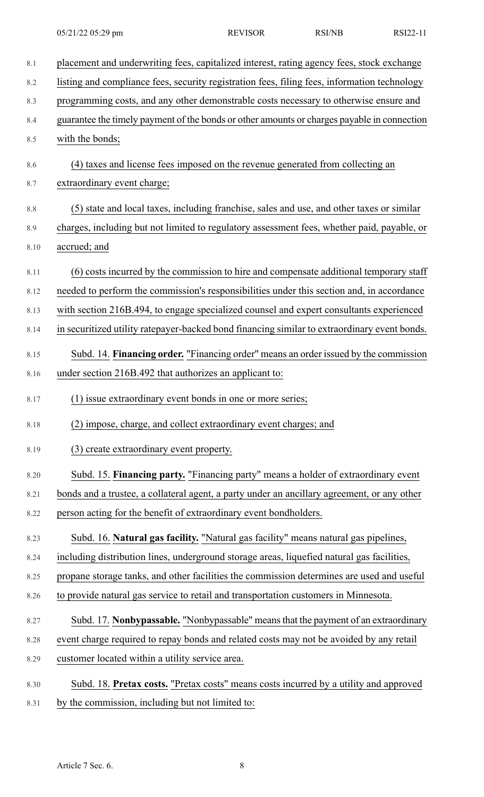| $8.1\,$ | placement and underwriting fees, capitalized interest, rating agency fees, stock exchange    |
|---------|----------------------------------------------------------------------------------------------|
| 8.2     | listing and compliance fees, security registration fees, filing fees, information technology |
| 8.3     | programming costs, and any other demonstrable costs necessary to otherwise ensure and        |
| 8.4     | guarantee the timely payment of the bonds or other amounts or charges payable in connection  |
| 8.5     | with the bonds;                                                                              |
| 8.6     | (4) taxes and license fees imposed on the revenue generated from collecting an               |
| 8.7     | extraordinary event charge;                                                                  |
| 8.8     | (5) state and local taxes, including franchise, sales and use, and other taxes or similar    |
| 8.9     | charges, including but not limited to regulatory assessment fees, whether paid, payable, or  |
| 8.10    | accrued; and                                                                                 |
| 8.11    | (6) costs incurred by the commission to hire and compensate additional temporary staff       |
| 8.12    | needed to perform the commission's responsibilities under this section and, in accordance    |
| 8.13    | with section 216B.494, to engage specialized counsel and expert consultants experienced      |
| 8.14    | in securitized utility ratepayer-backed bond financing similar to extraordinary event bonds. |
| 8.15    | Subd. 14. Financing order. "Financing order" means an order issued by the commission         |
| 8.16    | under section 216B.492 that authorizes an applicant to:                                      |
| 8.17    | (1) issue extraordinary event bonds in one or more series;                                   |
| 8.18    | (2) impose, charge, and collect extraordinary event charges; and                             |
| 8.19    | (3) create extraordinary event property.                                                     |
| 8.20    | Subd. 15. Financing party. "Financing party" means a holder of extraordinary event           |
| 8.21    | bonds and a trustee, a collateral agent, a party under an ancillary agreement, or any other  |
| 8.22    | person acting for the benefit of extraordinary event bondholders.                            |
| 8.23    | Subd. 16. Natural gas facility. "Natural gas facility" means natural gas pipelines,          |
| 8.24    | including distribution lines, underground storage areas, liquefied natural gas facilities,   |
| 8.25    | propane storage tanks, and other facilities the commission determines are used and useful    |
| 8.26    | to provide natural gas service to retail and transportation customers in Minnesota.          |
| 8.27    | Subd. 17. Nonbypassable. "Nonbypassable" means that the payment of an extraordinary          |
| 8.28    | event charge required to repay bonds and related costs may not be avoided by any retail      |
| 8.29    | customer located within a utility service area.                                              |
| 8.30    | Subd. 18. Pretax costs. "Pretax costs" means costs incurred by a utility and approved        |
| 8.31    | by the commission, including but not limited to:                                             |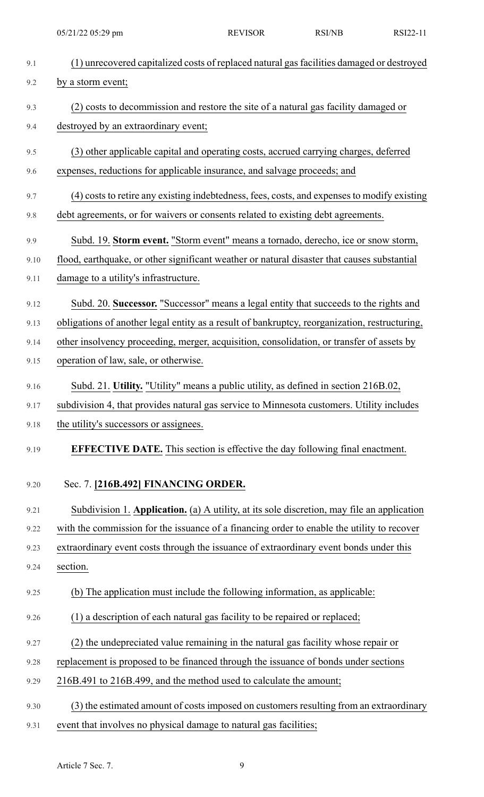| 9.1  | (1) unrecovered capitalized costs of replaced natural gas facilities damaged or destroyed     |
|------|-----------------------------------------------------------------------------------------------|
| 9.2  | by a storm event;                                                                             |
| 9.3  | (2) costs to decommission and restore the site of a natural gas facility damaged or           |
| 9.4  | destroyed by an extraordinary event;                                                          |
| 9.5  | (3) other applicable capital and operating costs, accrued carrying charges, deferred          |
| 9.6  | expenses, reductions for applicable insurance, and salvage proceeds; and                      |
| 9.7  | (4) costs to retire any existing indebtedness, fees, costs, and expenses to modify existing   |
| 9.8  | debt agreements, or for waivers or consents related to existing debt agreements.              |
| 9.9  | Subd. 19. Storm event. "Storm event" means a tornado, derecho, ice or snow storm,             |
| 9.10 | flood, earthquake, or other significant weather or natural disaster that causes substantial   |
| 9.11 | damage to a utility's infrastructure.                                                         |
| 9.12 | Subd. 20. Successor. "Successor" means a legal entity that succeeds to the rights and         |
| 9.13 | obligations of another legal entity as a result of bankruptcy, reorganization, restructuring, |
| 9.14 | other insolvency proceeding, merger, acquisition, consolidation, or transfer of assets by     |
| 9.15 | operation of law, sale, or otherwise.                                                         |
| 9.16 | Subd. 21. Utility. "Utility" means a public utility, as defined in section 216B.02,           |
| 9.17 | subdivision 4, that provides natural gas service to Minnesota customers. Utility includes     |
| 9.18 | the utility's successors or assignees.                                                        |
| 9.19 | <b>EFFECTIVE DATE.</b> This section is effective the day following final enactment.           |
|      |                                                                                               |
| 9.20 | Sec. 7. [216B.492] FINANCING ORDER.                                                           |
| 9.21 | Subdivision 1. Application. (a) A utility, at its sole discretion, may file an application    |
| 9.22 | with the commission for the issuance of a financing order to enable the utility to recover    |
| 9.23 | extraordinary event costs through the issuance of extraordinary event bonds under this        |
| 9.24 | section.                                                                                      |
| 9.25 | (b) The application must include the following information, as applicable:                    |
| 9.26 | (1) a description of each natural gas facility to be repaired or replaced;                    |
| 9.27 | (2) the undepreciated value remaining in the natural gas facility whose repair or             |
| 9.28 | replacement is proposed to be financed through the issuance of bonds under sections           |
| 9.29 | 216B.491 to 216B.499, and the method used to calculate the amount;                            |
| 9.30 | (3) the estimated amount of costs imposed on customers resulting from an extraordinary        |
| 9.31 | event that involves no physical damage to natural gas facilities;                             |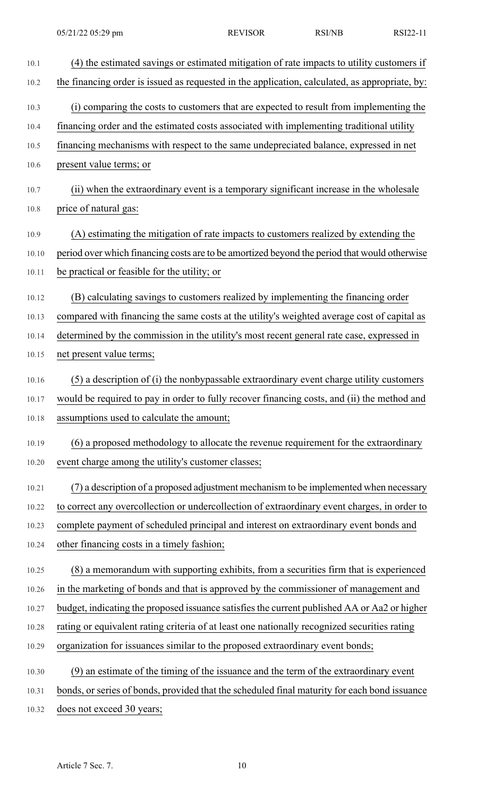| 10.1  | (4) the estimated savings or estimated mitigation of rate impacts to utility customers if      |
|-------|------------------------------------------------------------------------------------------------|
| 10.2  | the financing order is issued as requested in the application, calculated, as appropriate, by: |
| 10.3  | (i) comparing the costs to customers that are expected to result from implementing the         |
| 10.4  | financing order and the estimated costs associated with implementing traditional utility       |
| 10.5  | financing mechanisms with respect to the same undepreciated balance, expressed in net          |
| 10.6  | present value terms; or                                                                        |
| 10.7  | (ii) when the extraordinary event is a temporary significant increase in the wholesale         |
| 10.8  | price of natural gas:                                                                          |
| 10.9  | (A) estimating the mitigation of rate impacts to customers realized by extending the           |
| 10.10 | period over which financing costs are to be amortized beyond the period that would otherwise   |
| 10.11 | be practical or feasible for the utility; or                                                   |
| 10.12 | (B) calculating savings to customers realized by implementing the financing order              |
| 10.13 | compared with financing the same costs at the utility's weighted average cost of capital as    |
| 10.14 | determined by the commission in the utility's most recent general rate case, expressed in      |
| 10.15 | net present value terms;                                                                       |
| 10.16 | (5) a description of (i) the nonbypassable extraordinary event charge utility customers        |
| 10.17 | would be required to pay in order to fully recover financing costs, and (ii) the method and    |
| 10.18 | assumptions used to calculate the amount;                                                      |
| 10.19 | (6) a proposed methodology to allocate the revenue requirement for the extraordinary           |
| 10.20 | event charge among the utility's customer classes;                                             |
| 10.21 | (7) a description of a proposed adjustment mechanism to be implemented when necessary          |
| 10.22 | to correct any overcollection or undercollection of extraordinary event charges, in order to   |
| 10.23 | complete payment of scheduled principal and interest on extraordinary event bonds and          |
| 10.24 | other financing costs in a timely fashion;                                                     |
| 10.25 | (8) a memorandum with supporting exhibits, from a securities firm that is experienced          |
| 10.26 | in the marketing of bonds and that is approved by the commissioner of management and           |
| 10.27 | budget, indicating the proposed issuance satisfies the current published AA or Aa2 or higher   |
| 10.28 | rating or equivalent rating criteria of at least one nationally recognized securities rating   |
| 10.29 | organization for issuances similar to the proposed extraordinary event bonds;                  |
| 10.30 | (9) an estimate of the timing of the issuance and the term of the extraordinary event          |
| 10.31 | bonds, or series of bonds, provided that the scheduled final maturity for each bond issuance   |
| 10.32 | does not exceed 30 years;                                                                      |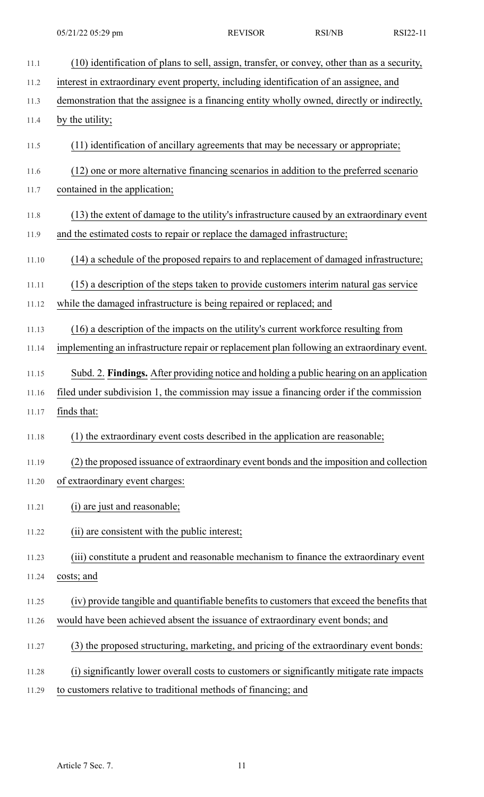| 11.1  | (10) identification of plans to sell, assign, transfer, or convey, other than as a security, |
|-------|----------------------------------------------------------------------------------------------|
| 11.2  | interest in extraordinary event property, including identification of an assignee, and       |
| 11.3  | demonstration that the assignee is a financing entity wholly owned, directly or indirectly,  |
| 11.4  | by the utility;                                                                              |
| 11.5  | (11) identification of ancillary agreements that may be necessary or appropriate;            |
| 11.6  | (12) one or more alternative financing scenarios in addition to the preferred scenario       |
| 11.7  | contained in the application;                                                                |
| 11.8  | (13) the extent of damage to the utility's infrastructure caused by an extraordinary event   |
| 11.9  | and the estimated costs to repair or replace the damaged infrastructure;                     |
| 11.10 | (14) a schedule of the proposed repairs to and replacement of damaged infrastructure;        |
| 11.11 | (15) a description of the steps taken to provide customers interim natural gas service       |
| 11.12 | while the damaged infrastructure is being repaired or replaced; and                          |
| 11.13 | (16) a description of the impacts on the utility's current workforce resulting from          |
| 11.14 | implementing an infrastructure repair or replacement plan following an extraordinary event.  |
| 11.15 | Subd. 2. Findings. After providing notice and holding a public hearing on an application     |
| 11.16 | filed under subdivision 1, the commission may issue a financing order if the commission      |
| 11.17 | finds that:                                                                                  |
| 11.18 | (1) the extraordinary event costs described in the application are reasonable;               |
| 11.19 | (2) the proposed issuance of extraordinary event bonds and the imposition and collection     |
| 11.20 | of extraordinary event charges:                                                              |
| 11.21 | (i) are just and reasonable;                                                                 |
| 11.22 | (ii) are consistent with the public interest;                                                |
| 11.23 | (iii) constitute a prudent and reasonable mechanism to finance the extraordinary event       |
| 11.24 | costs; and                                                                                   |
| 11.25 | (iv) provide tangible and quantifiable benefits to customers that exceed the benefits that   |
| 11.26 | would have been achieved absent the issuance of extraordinary event bonds; and               |
| 11.27 | (3) the proposed structuring, marketing, and pricing of the extraordinary event bonds:       |
| 11.28 | (i) significantly lower overall costs to customers or significantly mitigate rate impacts    |
| 11.29 | to customers relative to traditional methods of financing; and                               |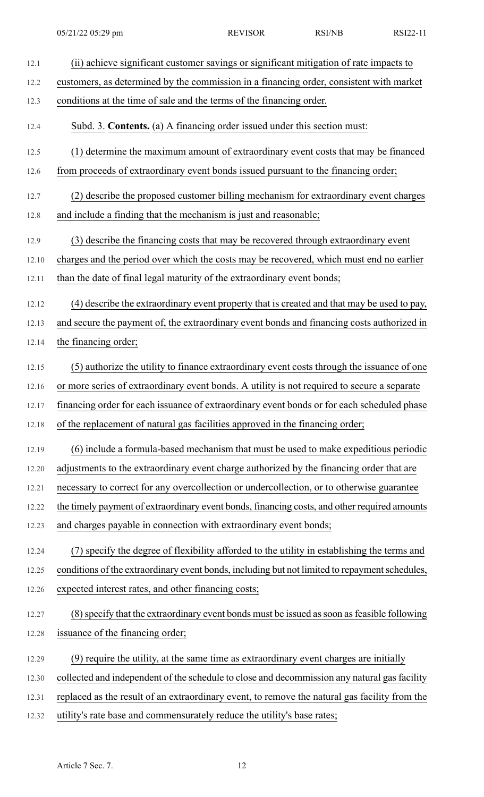| 12.1  | (ii) achieve significant customer savings or significant mitigation of rate impacts to         |
|-------|------------------------------------------------------------------------------------------------|
| 12.2  | customers, as determined by the commission in a financing order, consistent with market        |
| 12.3  | conditions at the time of sale and the terms of the financing order.                           |
| 12.4  | Subd. 3. Contents. (a) A financing order issued under this section must:                       |
| 12.5  | (1) determine the maximum amount of extraordinary event costs that may be financed             |
| 12.6  | from proceeds of extraordinary event bonds issued pursuant to the financing order;             |
| 12.7  | (2) describe the proposed customer billing mechanism for extraordinary event charges           |
| 12.8  | and include a finding that the mechanism is just and reasonable;                               |
| 12.9  | (3) describe the financing costs that may be recovered through extraordinary event             |
| 12.10 | charges and the period over which the costs may be recovered, which must end no earlier        |
| 12.11 | than the date of final legal maturity of the extraordinary event bonds;                        |
| 12.12 | (4) describe the extraordinary event property that is created and that may be used to pay,     |
| 12.13 | and secure the payment of, the extraordinary event bonds and financing costs authorized in     |
| 12.14 | the financing order;                                                                           |
| 12.15 | (5) authorize the utility to finance extraordinary event costs through the issuance of one     |
| 12.16 | or more series of extraordinary event bonds. A utility is not required to secure a separate    |
| 12.17 | financing order for each issuance of extraordinary event bonds or for each scheduled phase     |
| 12.18 | of the replacement of natural gas facilities approved in the financing order;                  |
| 12.19 | (6) include a formula-based mechanism that must be used to make expeditious periodic           |
| 12.20 | adjustments to the extraordinary event charge authorized by the financing order that are       |
| 12.21 | necessary to correct for any overcollection or undercollection, or to otherwise guarantee      |
| 12.22 | the timely payment of extraordinary event bonds, financing costs, and other required amounts   |
| 12.23 | and charges payable in connection with extraordinary event bonds;                              |
| 12.24 | (7) specify the degree of flexibility afforded to the utility in establishing the terms and    |
| 12.25 | conditions of the extraordinary event bonds, including but not limited to repayment schedules, |
| 12.26 | expected interest rates, and other financing costs;                                            |
| 12.27 | (8) specify that the extraordinary event bonds must be issued as soon as feasible following    |
| 12.28 | issuance of the financing order;                                                               |
| 12.29 | (9) require the utility, at the same time as extraordinary event charges are initially         |
| 12.30 | collected and independent of the schedule to close and decommission any natural gas facility   |
| 12.31 | replaced as the result of an extraordinary event, to remove the natural gas facility from the  |
| 12.32 | utility's rate base and commensurately reduce the utility's base rates;                        |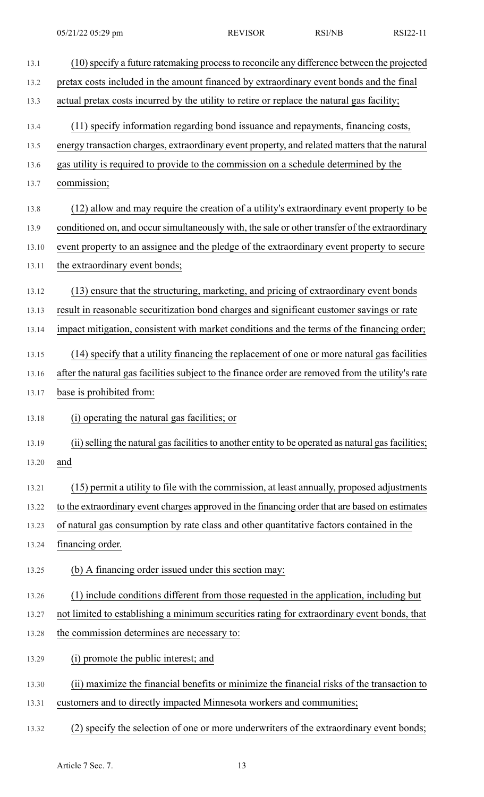| 13.1  | (10) specify a future ratemaking process to reconcile any difference between the projected          |
|-------|-----------------------------------------------------------------------------------------------------|
| 13.2  | pretax costs included in the amount financed by extraordinary event bonds and the final             |
| 13.3  | actual pretax costs incurred by the utility to retire or replace the natural gas facility;          |
| 13.4  | (11) specify information regarding bond issuance and repayments, financing costs,                   |
| 13.5  | energy transaction charges, extraordinary event property, and related matters that the natural      |
| 13.6  | gas utility is required to provide to the commission on a schedule determined by the                |
| 13.7  | commission;                                                                                         |
| 13.8  | (12) allow and may require the creation of a utility's extraordinary event property to be           |
| 13.9  | conditioned on, and occur simultaneously with, the sale or other transfer of the extraordinary      |
| 13.10 | event property to an assignee and the pledge of the extraordinary event property to secure          |
| 13.11 | the extraordinary event bonds;                                                                      |
| 13.12 | (13) ensure that the structuring, marketing, and pricing of extraordinary event bonds               |
| 13.13 | result in reasonable securitization bond charges and significant customer savings or rate           |
| 13.14 | impact mitigation, consistent with market conditions and the terms of the financing order;          |
| 13.15 | (14) specify that a utility financing the replacement of one or more natural gas facilities         |
| 13.16 | after the natural gas facilities subject to the finance order are removed from the utility's rate   |
| 13.17 | base is prohibited from:                                                                            |
| 13.18 | (i) operating the natural gas facilities; or                                                        |
| 13.19 | (ii) selling the natural gas facilities to another entity to be operated as natural gas facilities; |
| 13.20 | and                                                                                                 |
| 13.21 | (15) permit a utility to file with the commission, at least annually, proposed adjustments          |
| 13.22 | to the extraordinary event charges approved in the financing order that are based on estimates      |
| 13.23 | of natural gas consumption by rate class and other quantitative factors contained in the            |
| 13.24 | financing order.                                                                                    |
| 13.25 | (b) A financing order issued under this section may:                                                |
| 13.26 | (1) include conditions different from those requested in the application, including but             |
| 13.27 | not limited to establishing a minimum securities rating for extraordinary event bonds, that         |
| 13.28 | the commission determines are necessary to:                                                         |
| 13.29 | (i) promote the public interest; and                                                                |
| 13.30 | (ii) maximize the financial benefits or minimize the financial risks of the transaction to          |
| 13.31 | customers and to directly impacted Minnesota workers and communities;                               |

13.32 (2) specify the selection of one or more underwriters of the extraordinary event bonds;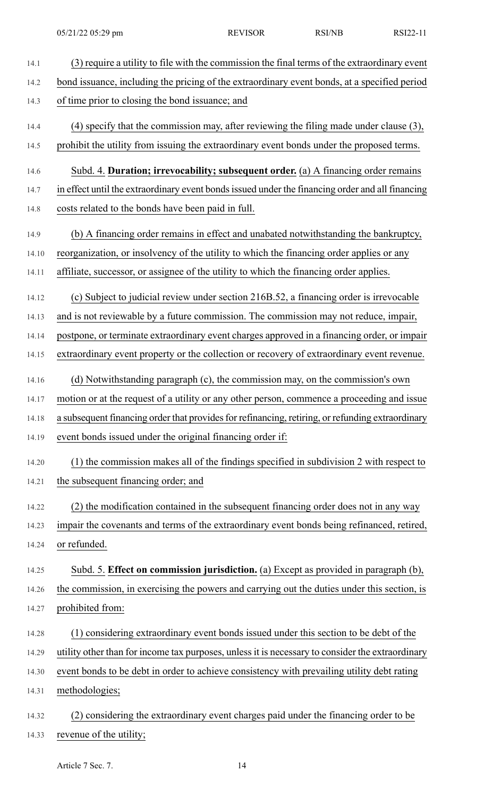14.1 (3) require a utility to file with the commission the final terms of the extraordinary event 14.2 bond issuance, including the pricing of the extraordinary event bonds, at a specified period 14.3 of time prior to closing the bond issuance; and 14.4 (4) specify that the commission may, after reviewing the filing made under clause (3), 14.5 prohibit the utility from issuing the extraordinary event bonds under the proposed terms. 14.6 Subd. 4. **Duration; irrevocability; subsequent order.** (a) A financing order remains 14.7 in effect until the extraordinary event bonds issued under the financing order and all financing 14.8 costs related to the bonds have been paid in full. 14.9 (b) A financing order remains in effect and unabated notwithstanding the bankruptcy, 14.10 reorganization, or insolvency of the utility to which the financing order applies or any 14.11 affiliate, successor, or assignee of the utility to which the financing order applies. 14.12 (c) Subject to judicial review under section 216B.52, a financing order is irrevocable 14.13 and is not reviewable by a future commission. The commission may not reduce, impair, 14.14 postpone, or terminate extraordinary event charges approved in a financing order, or impair 14.15 extraordinary event property or the collection or recovery of extraordinary event revenue. 14.16 (d) Notwithstanding paragraph (c), the commission may, on the commission's own 14.17 motion or at the request of a utility or any other person, commence a proceeding and issue 14.18 a subsequent financing order that provides for refinancing, retiring, or refunding extraordinary 14.19 event bonds issued under the original financing order if: 14.20 (1) the commission makes all of the findings specified in subdivision 2 with respect to 14.21 the subsequent financing order; and 14.22 (2) the modification contained in the subsequent financing order does not in any way 14.23 impair the covenants and terms of the extraordinary event bonds being refinanced, retired, 14.24 or refunded. 14.25 Subd. 5. **Effect on commission jurisdiction.** (a) Except as provided in paragraph (b), 14.26 the commission, in exercising the powers and carrying out the duties under this section, is 14.27 prohibited from: 14.28 (1) considering extraordinary event bonds issued under this section to be debt of the 14.29 utility other than for income tax purposes, unlessit is necessary to consider the extraordinary 14.30 event bonds to be debt in order to achieve consistency with prevailing utility debt rating 14.31 methodologies; 14.32 (2) considering the extraordinary event charges paid under the financing order to be 14.33 revenue of the utility;

Article 7 Sec. 7. 14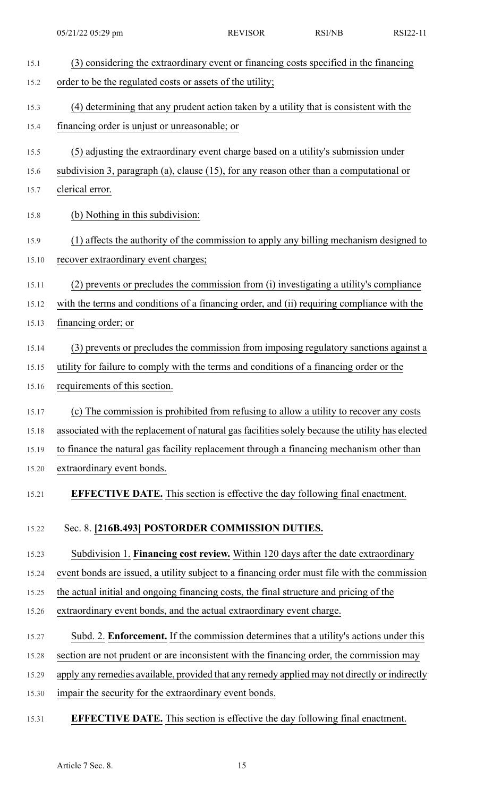| 15.1  | (3) considering the extraordinary event or financing costs specified in the financing            |
|-------|--------------------------------------------------------------------------------------------------|
| 15.2  | order to be the regulated costs or assets of the utility;                                        |
| 15.3  | (4) determining that any prudent action taken by a utility that is consistent with the           |
| 15.4  | financing order is unjust or unreasonable; or                                                    |
| 15.5  | (5) adjusting the extraordinary event charge based on a utility's submission under               |
| 15.6  | subdivision 3, paragraph (a), clause $(15)$ , for any reason other than a computational or       |
| 15.7  | clerical error.                                                                                  |
| 15.8  | (b) Nothing in this subdivision:                                                                 |
| 15.9  | (1) affects the authority of the commission to apply any billing mechanism designed to           |
| 15.10 | recover extraordinary event charges;                                                             |
| 15.11 | (2) prevents or precludes the commission from (i) investigating a utility's compliance           |
| 15.12 | with the terms and conditions of a financing order, and (ii) requiring compliance with the       |
| 15.13 | financing order; or                                                                              |
| 15.14 | (3) prevents or precludes the commission from imposing regulatory sanctions against a            |
| 15.15 | utility for failure to comply with the terms and conditions of a financing order or the          |
| 15.16 | requirements of this section.                                                                    |
| 15.17 | (c) The commission is prohibited from refusing to allow a utility to recover any costs           |
| 15.18 | associated with the replacement of natural gas facilities solely because the utility has elected |
| 15.19 | to finance the natural gas facility replacement through a financing mechanism other than         |
| 15.20 | extraordinary event bonds.                                                                       |
| 15.21 | <b>EFFECTIVE DATE.</b> This section is effective the day following final enactment.              |
| 15.22 | Sec. 8. [216B.493] POSTORDER COMMISSION DUTIES.                                                  |
| 15.23 | Subdivision 1. Financing cost review. Within 120 days after the date extraordinary               |
| 15.24 | event bonds are issued, a utility subject to a financing order must file with the commission     |
| 15.25 | the actual initial and ongoing financing costs, the final structure and pricing of the           |
| 15.26 | extraordinary event bonds, and the actual extraordinary event charge.                            |
| 15.27 | Subd. 2. Enforcement. If the commission determines that a utility's actions under this           |
| 15.28 | section are not prudent or are inconsistent with the financing order, the commission may         |
| 15.29 | apply any remedies available, provided that any remedy applied may not directly or indirectly    |
| 15.30 | impair the security for the extraordinary event bonds.                                           |

15.31 **EFFECTIVE DATE.** This section is effective the day following final enactment.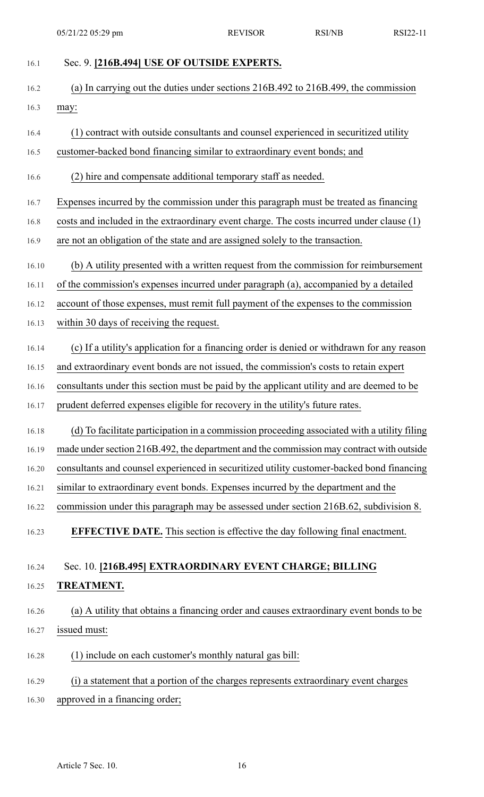16.1 Sec. 9. **[216B.494] USE OF OUTSIDE EXPERTS.** 16.2 (a) In carrying out the duties under sections 216B.492 to 216B.499, the commission 16.3 may: 16.4 (1) contract with outside consultants and counsel experienced in securitized utility 16.5 customer-backed bond financing similar to extraordinary event bonds; and

16.6 (2) hire and compensate additional temporary staff as needed.

16.7 Expenses incurred by the commission under this paragraph must be treated as financing

16.8 costs and included in the extraordinary event charge. The costs incurred under clause (1)

16.9 are not an obligation of the state and are assigned solely to the transaction.

16.10 (b) A utility presented with a written request from the commission for reimbursement

16.11 of the commission's expenses incurred under paragraph (a), accompanied by a detailed

16.12 account of those expenses, must remit full payment of the expenses to the commission

16.13 within 30 days of receiving the request.

16.14 (c) If a utility's application for a financing order is denied or withdrawn for any reason

16.15 and extraordinary event bonds are not issued, the commission's costs to retain expert

16.16 consultants under this section must be paid by the applicant utility and are deemed to be

16.17 prudent deferred expenses eligible for recovery in the utility's future rates.

16.18 (d) To facilitate participation in a commission proceeding associated with a utility filing

16.19 made under section 216B.492, the department and the commission may contract with outside

16.20 consultants and counsel experienced in securitized utility customer-backed bond financing

16.21 similar to extraordinary event bonds. Expenses incurred by the department and the

16.22 commission under this paragraph may be assessed under section 216B.62, subdivision 8.

16.23 **EFFECTIVE DATE.** This section is effective the day following final enactment.

## 16.24 Sec. 10. **[216B.495] EXTRAORDINARY EVENT CHARGE; BILLING**

## 16.25 **TREATMENT.**

16.26 (a) A utility that obtains a financing order and causes extraordinary event bonds to be 16.27 issued must:

16.28 (1) include on each customer's monthly natural gas bill:

16.29 (i) a statement that a portion of the charges represents extraordinary event charges

16.30 approved in a financing order;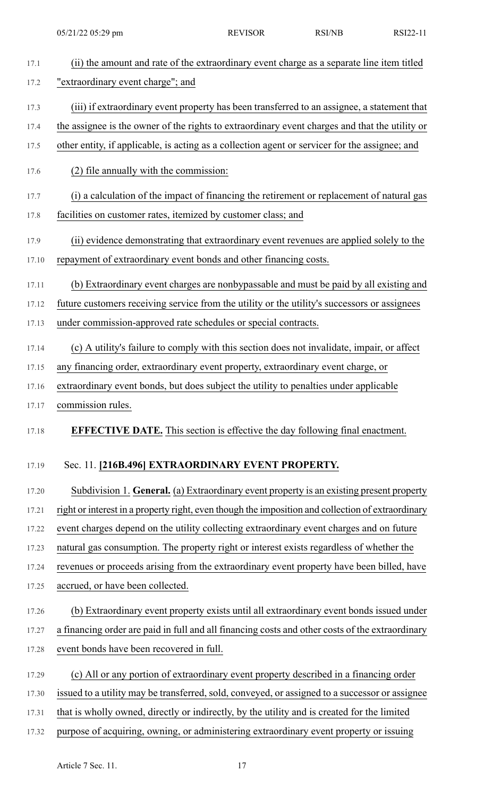| 17.1  | (ii) the amount and rate of the extraordinary event charge as a separate line item titled         |
|-------|---------------------------------------------------------------------------------------------------|
| 17.2  | "extraordinary event charge"; and                                                                 |
| 17.3  | (iii) if extraordinary event property has been transferred to an assignee, a statement that       |
| 17.4  | the assignee is the owner of the rights to extraordinary event charges and that the utility or    |
| 17.5  | other entity, if applicable, is acting as a collection agent or servicer for the assignee; and    |
| 17.6  | (2) file annually with the commission:                                                            |
| 17.7  | (i) a calculation of the impact of financing the retirement or replacement of natural gas         |
| 17.8  | facilities on customer rates, itemized by customer class; and                                     |
| 17.9  | (ii) evidence demonstrating that extraordinary event revenues are applied solely to the           |
| 17.10 | repayment of extraordinary event bonds and other financing costs.                                 |
| 17.11 | (b) Extraordinary event charges are nonbypassable and must be paid by all existing and            |
| 17.12 | future customers receiving service from the utility or the utility's successors or assignees      |
| 17.13 | under commission-approved rate schedules or special contracts.                                    |
| 17.14 | (c) A utility's failure to comply with this section does not invalidate, impair, or affect        |
| 17.15 | any financing order, extraordinary event property, extraordinary event charge, or                 |
| 17.16 | extraordinary event bonds, but does subject the utility to penalties under applicable             |
| 17.17 | commission rules.                                                                                 |
| 17.18 | <b>EFFECTIVE DATE.</b> This section is effective the day following final enactment.               |
| 17.19 | Sec. 11. [216B.496] EXTRAORDINARY EVENT PROPERTY.                                                 |
| 17.20 | Subdivision 1. General. (a) Extraordinary event property is an existing present property          |
| 17.21 | right or interest in a property right, even though the imposition and collection of extraordinary |
| 17.22 | event charges depend on the utility collecting extraordinary event charges and on future          |
| 17.23 | natural gas consumption. The property right or interest exists regardless of whether the          |
| 17.24 | revenues or proceeds arising from the extraordinary event property have been billed, have         |
| 17.25 | accrued, or have been collected.                                                                  |
| 17.26 | (b) Extraordinary event property exists until all extraordinary event bonds issued under          |
| 17.27 | a financing order are paid in full and all financing costs and other costs of the extraordinary   |
| 17.28 | event bonds have been recovered in full.                                                          |
| 17.29 | (c) All or any portion of extraordinary event property described in a financing order             |
| 17.30 | issued to a utility may be transferred, sold, conveyed, or assigned to a successor or assignee    |
| 17.31 | that is wholly owned, directly or indirectly, by the utility and is created for the limited       |
| 17.32 | purpose of acquiring, owning, or administering extraordinary event property or issuing            |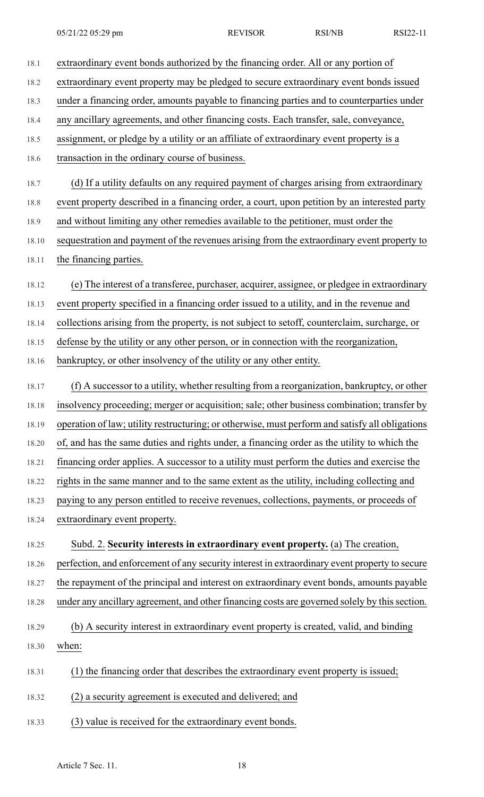| 18.1  | extraordinary event bonds authorized by the financing order. All or any portion of              |
|-------|-------------------------------------------------------------------------------------------------|
| 18.2  | extraordinary event property may be pledged to secure extraordinary event bonds issued          |
| 18.3  | under a financing order, amounts payable to financing parties and to counterparties under       |
| 18.4  | any ancillary agreements, and other financing costs. Each transfer, sale, conveyance,           |
| 18.5  | assignment, or pledge by a utility or an affiliate of extraordinary event property is a         |
| 18.6  | transaction in the ordinary course of business.                                                 |
| 18.7  | (d) If a utility defaults on any required payment of charges arising from extraordinary         |
| 18.8  | event property described in a financing order, a court, upon petition by an interested party    |
| 18.9  | and without limiting any other remedies available to the petitioner, must order the             |
| 18.10 | sequestration and payment of the revenues arising from the extraordinary event property to      |
| 18.11 | the financing parties.                                                                          |
| 18.12 | (e) The interest of a transferee, purchaser, acquirer, assignee, or pledgee in extraordinary    |
| 18.13 | event property specified in a financing order issued to a utility, and in the revenue and       |
| 18.14 | collections arising from the property, is not subject to setoff, counterclaim, surcharge, or    |
| 18.15 | defense by the utility or any other person, or in connection with the reorganization,           |
| 18.16 | bankruptcy, or other insolvency of the utility or any other entity.                             |
| 18.17 | (f) A successor to a utility, whether resulting from a reorganization, bankruptcy, or other     |
| 18.18 | insolvency proceeding; merger or acquisition; sale; other business combination; transfer by     |
| 18.19 | operation of law; utility restructuring; or otherwise, must perform and satisfy all obligations |
| 18.20 | of, and has the same duties and rights under, a financing order as the utility to which the     |
| 18.21 | financing order applies. A successor to a utility must perform the duties and exercise the      |
| 18.22 | rights in the same manner and to the same extent as the utility, including collecting and       |
| 18.23 | paying to any person entitled to receive revenues, collections, payments, or proceeds of        |
| 18.24 | extraordinary event property.                                                                   |
| 18.25 | Subd. 2. Security interests in extraordinary event property. (a) The creation,                  |
| 18.26 | perfection, and enforcement of any security interest in extraordinary event property to secure  |
| 18.27 | the repayment of the principal and interest on extraordinary event bonds, amounts payable       |
| 18.28 | under any ancillary agreement, and other financing costs are governed solely by this section.   |
| 18.29 | (b) A security interest in extraordinary event property is created, valid, and binding          |
| 18.30 | when:                                                                                           |
| 18.31 | the financing order that describes the extraordinary event property is issued;<br>(1)           |
| 18.32 | (2) a security agreement is executed and delivered; and                                         |
| 18.33 | (3) value is received for the extraordinary event bonds.                                        |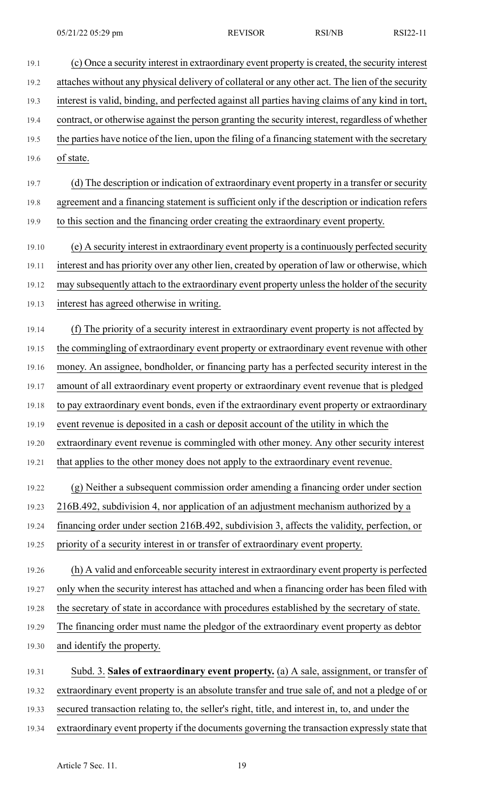19.1 (c) Once a security interest in extraordinary event property is created, the security interest 19.2 attaches without any physical delivery of collateral or any other act. The lien of the security 19.3 interest is valid, binding, and perfected against all parties having claims of any kind in tort, 19.4 contract, or otherwise against the person granting the security interest, regardless of whether 19.5 the parties have notice of the lien, upon the filing of a financing statement with the secretary 19.6 of state. 19.7 (d) The description or indication of extraordinary event property in a transfer or security 19.8 agreement and a financing statement is sufficient only if the description or indication refers 19.9 to this section and the financing order creating the extraordinary event property. 19.10 (e) A security interest in extraordinary event property is a continuously perfected security 19.11 interest and has priority over any other lien, created by operation of law or otherwise, which 19.12 may subsequently attach to the extraordinary event property unless the holder of the security 19.13 interest has agreed otherwise in writing. 19.14 (f) The priority of a security interest in extraordinary event property is not affected by 19.15 the commingling of extraordinary event property or extraordinary event revenue with other 19.16 money. An assignee, bondholder, or financing party has a perfected security interest in the 19.17 amount of all extraordinary event property or extraordinary event revenue that is pledged 19.18 to pay extraordinary event bonds, even if the extraordinary event property or extraordinary 19.19 event revenue is deposited in a cash or deposit account of the utility in which the 19.20 extraordinary event revenue is commingled with other money. Any other security interest 19.21 that applies to the other money does not apply to the extraordinary event revenue. 19.22 (g) Neither a subsequent commission order amending a financing order under section 19.23 216B.492, subdivision 4, nor application of an adjustment mechanism authorized by a 19.24 financing order under section 216B.492, subdivision 3, affects the validity, perfection, or 19.25 priority of a security interest in or transfer of extraordinary event property. 19.26 (h) A valid and enforceable security interest in extraordinary event property is perfected 19.27 only when the security interest has attached and when a financing order has been filed with 19.28 the secretary of state in accordance with procedures established by the secretary of state. 19.29 The financing order must name the pledgor of the extraordinary event property as debtor 19.30 and identify the property. 19.31 Subd. 3. **Sales of extraordinary event property.** (a) A sale, assignment, or transfer of 19.32 extraordinary event property is an absolute transfer and true sale of, and not a pledge of or 19.33 secured transaction relating to, the seller's right, title, and interest in, to, and under the 19.34 extraordinary event property if the documents governing the transaction expressly state that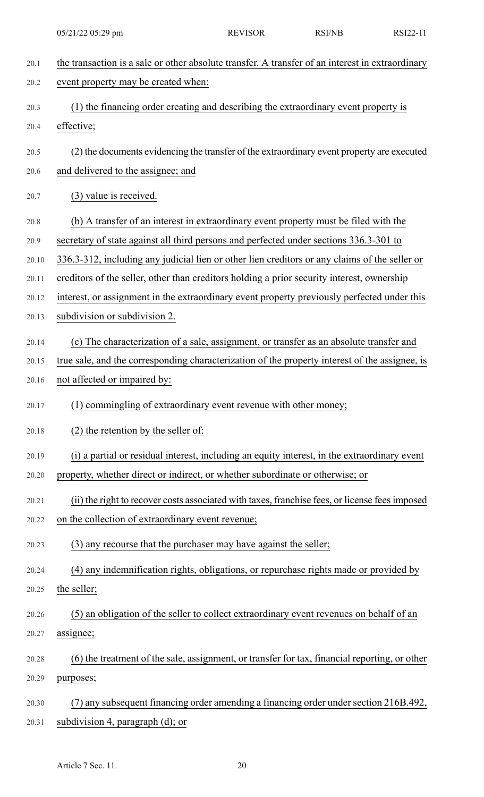| 20.1  | the transaction is a sale or other absolute transfer. A transfer of an interest in extraordinary |
|-------|--------------------------------------------------------------------------------------------------|
| 20.2  | event property may be created when:                                                              |
| 20.3  | (1) the financing order creating and describing the extraordinary event property is              |
| 20.4  | effective;                                                                                       |
| 20.5  | (2) the documents evidencing the transfer of the extraordinary event property are executed       |
| 20.6  | and delivered to the assignee; and                                                               |
|       |                                                                                                  |
| 20.7  | (3) value is received.                                                                           |
| 20.8  | (b) A transfer of an interest in extraordinary event property must be filed with the             |
| 20.9  | secretary of state against all third persons and perfected under sections 336.3-301 to           |
| 20.10 | 336.3-312, including any judicial lien or other lien creditors or any claims of the seller or    |
| 20.11 | creditors of the seller, other than creditors holding a prior security interest, ownership       |
| 20.12 | interest, or assignment in the extraordinary event property previously perfected under this      |
| 20.13 | subdivision or subdivision 2.                                                                    |
| 20.14 | (c) The characterization of a sale, assignment, or transfer as an absolute transfer and          |
| 20.15 | true sale, and the corresponding characterization of the property interest of the assignee, is   |
| 20.16 | not affected or impaired by:                                                                     |
| 20.17 | (1) commingling of extraordinary event revenue with other money;                                 |
| 20.18 | $(2)$ the retention by the seller of:                                                            |
| 20.19 | (i) a partial or residual interest, including an equity interest, in the extraordinary event     |
| 20.20 | property, whether direct or indirect, or whether subordinate or otherwise; or                    |
| 20.21 | (ii) the right to recover costs associated with taxes, franchise fees, or license fees imposed   |
| 20.22 | on the collection of extraordinary event revenue;                                                |
| 20.23 | (3) any recourse that the purchaser may have against the seller;                                 |
| 20.24 | (4) any indemnification rights, obligations, or repurchase rights made or provided by            |
| 20.25 | the seller;                                                                                      |
| 20.26 | (5) an obligation of the seller to collect extraordinary event revenues on behalf of an          |
| 20.27 | assignee;                                                                                        |
| 20.28 | (6) the treatment of the sale, assignment, or transfer for tax, financial reporting, or other    |
| 20.29 | purposes;                                                                                        |
| 20.30 | (7) any subsequent financing order amending a financing order under section 216B.492,            |
|       |                                                                                                  |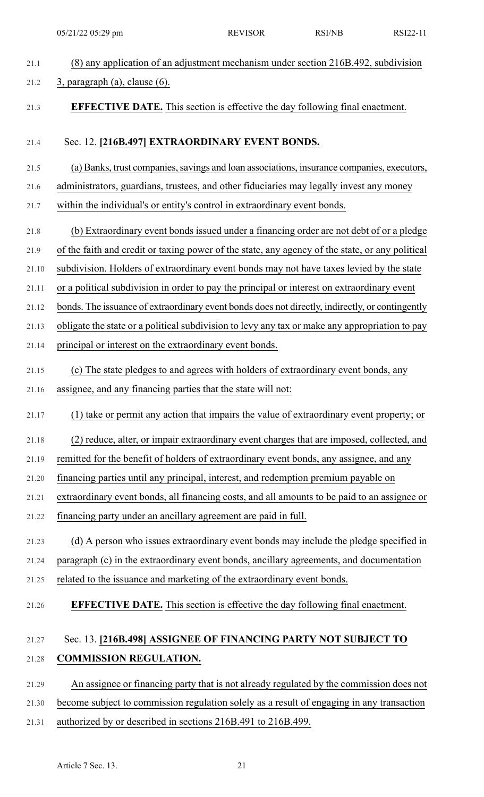| 21.1  | (8) any application of an adjustment mechanism under section 216B.492, subdivision              |
|-------|-------------------------------------------------------------------------------------------------|
| 21.2  | $3$ , paragraph (a), clause (6).                                                                |
| 21.3  | <b>EFFECTIVE DATE.</b> This section is effective the day following final enactment.             |
| 21.4  | Sec. 12. [216B.497] EXTRAORDINARY EVENT BONDS.                                                  |
| 21.5  | (a) Banks, trust companies, savings and loan associations, insurance companies, executors,      |
| 21.6  | administrators, guardians, trustees, and other fiduciaries may legally invest any money         |
| 21.7  | within the individual's or entity's control in extraordinary event bonds.                       |
| 21.8  | (b) Extraordinary event bonds issued under a financing order are not debt of or a pledge        |
| 21.9  | of the faith and credit or taxing power of the state, any agency of the state, or any political |
| 21.10 | subdivision. Holders of extraordinary event bonds may not have taxes levied by the state        |
| 21.11 | or a political subdivision in order to pay the principal or interest on extraordinary event     |
| 21.12 | bonds. The issuance of extraordinary event bonds does not directly, indirectly, or contingently |
| 21.13 | obligate the state or a political subdivision to levy any tax or make any appropriation to pay  |
| 21.14 | principal or interest on the extraordinary event bonds.                                         |
| 21.15 | (c) The state pledges to and agrees with holders of extraordinary event bonds, any              |
| 21.16 | assignee, and any financing parties that the state will not:                                    |
| 21.17 | (1) take or permit any action that impairs the value of extraordinary event property; or        |
| 21.18 | (2) reduce, alter, or impair extraordinary event charges that are imposed, collected, and       |
| 21.19 | remitted for the benefit of holders of extraordinary event bonds, any assignee, and any         |
| 21.20 | financing parties until any principal, interest, and redemption premium payable on              |
| 21.21 | extraordinary event bonds, all financing costs, and all amounts to be paid to an assignee or    |
| 21.22 | financing party under an ancillary agreement are paid in full.                                  |
| 21.23 | (d) A person who issues extraordinary event bonds may include the pledge specified in           |
| 21.24 | paragraph (c) in the extraordinary event bonds, ancillary agreements, and documentation         |
| 21.25 | related to the issuance and marketing of the extraordinary event bonds.                         |
| 21.26 | <b>EFFECTIVE DATE.</b> This section is effective the day following final enactment.             |
| 21.27 | Sec. 13. [216B.498] ASSIGNEE OF FINANCING PARTY NOT SUBJECT TO                                  |
| 21.28 | <b>COMMISSION REGULATION.</b>                                                                   |
| 21.29 | An assignee or financing party that is not already regulated by the commission does not         |
| 21.30 | become subject to commission regulation solely as a result of engaging in any transaction       |

21.31 authorized by or described in sections 216B.491 to 216B.499.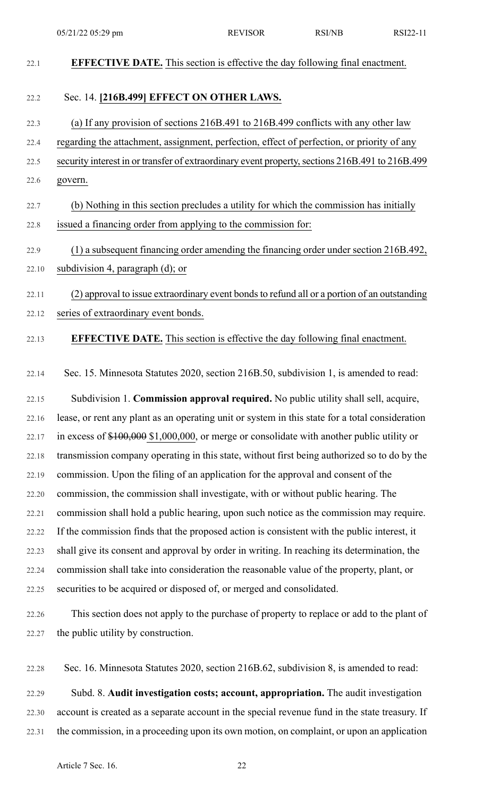| 22.1  | <b>EFFECTIVE DATE.</b> This section is effective the day following final enactment.             |
|-------|-------------------------------------------------------------------------------------------------|
| 22.2  | Sec. 14. [216B.499] EFFECT ON OTHER LAWS.                                                       |
| 22.3  | (a) If any provision of sections 216B.491 to 216B.499 conflicts with any other law              |
| 22.4  | regarding the attachment, assignment, perfection, effect of perfection, or priority of any      |
| 22.5  | security interest in or transfer of extraordinary event property, sections 216B.491 to 216B.499 |
| 22.6  | govern.                                                                                         |
| 22.7  | (b) Nothing in this section precludes a utility for which the commission has initially          |
| 22.8  | issued a financing order from applying to the commission for:                                   |
| 22.9  | (1) a subsequent financing order amending the financing order under section 216B.492,           |
| 22.10 | subdivision 4, paragraph (d); or                                                                |
| 22.11 | (2) approval to issue extraordinary event bonds to refund all or a portion of an outstanding    |
| 22.12 | series of extraordinary event bonds.                                                            |
| 22.13 | <b>EFFECTIVE DATE.</b> This section is effective the day following final enactment.             |
| 22.14 | Sec. 15. Minnesota Statutes 2020, section 216B.50, subdivision 1, is amended to read:           |
| 22.15 | Subdivision 1. Commission approval required. No public utility shall sell, acquire,             |
| 22.16 | lease, or rent any plant as an operating unit or system in this state for a total consideration |
| 22.17 | in excess of $$100,000$ \$1,000,000, or merge or consolidate with another public utility or     |
| 22.18 | transmission company operating in this state, without first being authorized so to do by the    |
| 22.19 | commission. Upon the filing of an application for the approval and consent of the               |
| 22.20 | commission, the commission shall investigate, with or without public hearing. The               |
| 22.21 | commission shall hold a public hearing, upon such notice as the commission may require.         |
| 22.22 | If the commission finds that the proposed action is consistent with the public interest, it     |
| 22.23 | shall give its consent and approval by order in writing. In reaching its determination, the     |
| 22.24 | commission shall take into consideration the reasonable value of the property, plant, or        |
| 22.25 | securities to be acquired or disposed of, or merged and consolidated.                           |
| 22.26 | This section does not apply to the purchase of property to replace or add to the plant of       |
| 22.27 | the public utility by construction.                                                             |
| 22.28 | Sec. 16. Minnesota Statutes 2020, section 216B.62, subdivision 8, is amended to read:           |
| 22.29 | Subd. 8. Audit investigation costs; account, appropriation. The audit investigation             |

22.30 account is created as a separate account in the special revenue fund in the state treasury. If 22.31 the commission, in a proceeding upon its own motion, on complaint, or upon an application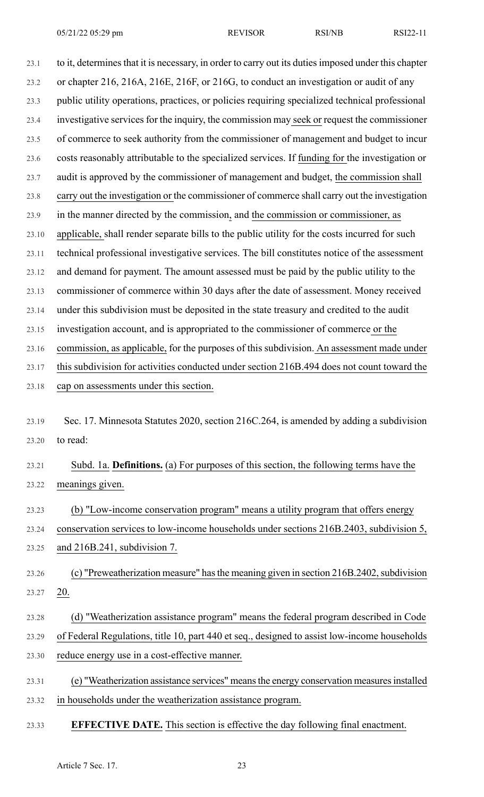23.1 to it, determines that it is necessary, in order to carry out its duties imposed under this chapter 23.2 or chapter 216, 216A, 216E, 216F, or 216G, to conduct an investigation or audit of any 23.3 public utility operations, practices, or policies requiring specialized technical professional 23.4 investigative services for the inquiry, the commission may seek or request the commissioner 23.5 of commerce to seek authority from the commissioner of management and budget to incur 23.6 costs reasonably attributable to the specialized services. If funding for the investigation or 23.7 audit is approved by the commissioner of management and budget, the commission shall 23.8 carry out the investigation or the commissioner of commerce shall carry out the investigation 23.9 in the manner directed by the commission, and the commission or commissioner, as 23.10 applicable, shall render separate bills to the public utility for the costs incurred for such 23.11 technical professional investigative services. The bill constitutes notice of the assessment 23.12 and demand for payment. The amount assessed must be paid by the public utility to the 23.13 commissioner of commerce within 30 days after the date of assessment. Money received 23.14 under this subdivision must be deposited in the state treasury and credited to the audit 23.15 investigation account, and is appropriated to the commissioner of commerce or the 23.16 commission, as applicable, for the purposes of this subdivision. An assessment made under 23.17 this subdivision for activities conducted under section 216B.494 does not count toward the 23.18 cap on assessments under this section.

23.19 Sec. 17. Minnesota Statutes 2020, section 216C.264, is amended by adding a subdivision 23.20 to read:

23.21 Subd. 1a. **Definitions.** (a) For purposes of this section, the following terms have the 23.22 meanings given.

23.23 (b) "Low-income conservation program" means a utility program that offers energy 23.24 conservation services to low-income households under sections 216B.2403, subdivision 5, 23.25 and 216B.241, subdivision 7.

23.26 (c) "Preweatherization measure" has the meaning given in section 216B.2402, subdivision 23.27 20.

- 23.28 (d) "Weatherization assistance program" means the federal program described in Code 23.29 of Federal Regulations, title 10, part 440 et seq., designed to assist low-income households 23.30 reduce energy use in a cost-effective manner.
- 23.31 (e) "Weatherization assistance services" meansthe energy conservation measuresinstalled 23.32 in households under the weatherization assistance program.
- 23.33 **EFFECTIVE DATE.** This section is effective the day following final enactment.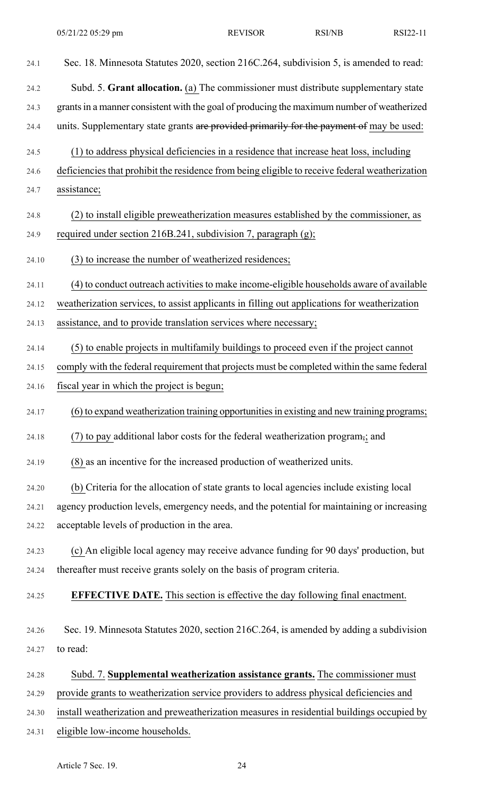| 24.1  | Sec. 18. Minnesota Statutes 2020, section 216C.264, subdivision 5, is amended to read:         |
|-------|------------------------------------------------------------------------------------------------|
| 24.2  | Subd. 5. Grant allocation. (a) The commissioner must distribute supplementary state            |
| 24.3  | grants in a manner consistent with the goal of producing the maximum number of weatherized     |
| 24.4  | units. Supplementary state grants are provided primarily for the payment of may be used:       |
| 24.5  | (1) to address physical deficiencies in a residence that increase heat loss, including         |
| 24.6  | deficiencies that prohibit the residence from being eligible to receive federal weatherization |
| 24.7  | assistance;                                                                                    |
| 24.8  | (2) to install eligible preweatherization measures established by the commissioner, as         |
| 24.9  | required under section 216B.241, subdivision 7, paragraph (g);                                 |
| 24.10 | (3) to increase the number of weatherized residences;                                          |
| 24.11 | (4) to conduct outreach activities to make income-eligible households aware of available       |
| 24.12 | weatherization services, to assist applicants in filling out applications for weatherization   |
| 24.13 | assistance, and to provide translation services where necessary;                               |
| 24.14 | (5) to enable projects in multifamily buildings to proceed even if the project cannot          |
| 24.15 | comply with the federal requirement that projects must be completed within the same federal    |
| 24.16 | fiscal year in which the project is begun;                                                     |
| 24.17 | (6) to expand weatherization training opportunities in existing and new training programs;     |
| 24.18 | (7) to pay additional labor costs for the federal weatherization program,; and                 |
| 24.19 | (8) as an incentive for the increased production of weatherized units.                         |
| 24.20 | (b) Criteria for the allocation of state grants to local agencies include existing local       |
| 24.21 | agency production levels, emergency needs, and the potential for maintaining or increasing     |
| 24.22 | acceptable levels of production in the area.                                                   |
| 24.23 | (c) An eligible local agency may receive advance funding for 90 days' production, but          |
| 24.24 | thereafter must receive grants solely on the basis of program criteria.                        |
| 24.25 | <b>EFFECTIVE DATE.</b> This section is effective the day following final enactment.            |
| 24.26 | Sec. 19. Minnesota Statutes 2020, section 216C.264, is amended by adding a subdivision         |
| 24.27 | to read:                                                                                       |
| 24.28 | Subd. 7. Supplemental weatherization assistance grants. The commissioner must                  |
| 24.29 | provide grants to weatherization service providers to address physical deficiencies and        |
| 24.30 | install weatherization and preweatherization measures in residential buildings occupied by     |
| 24.31 | eligible low-income households.                                                                |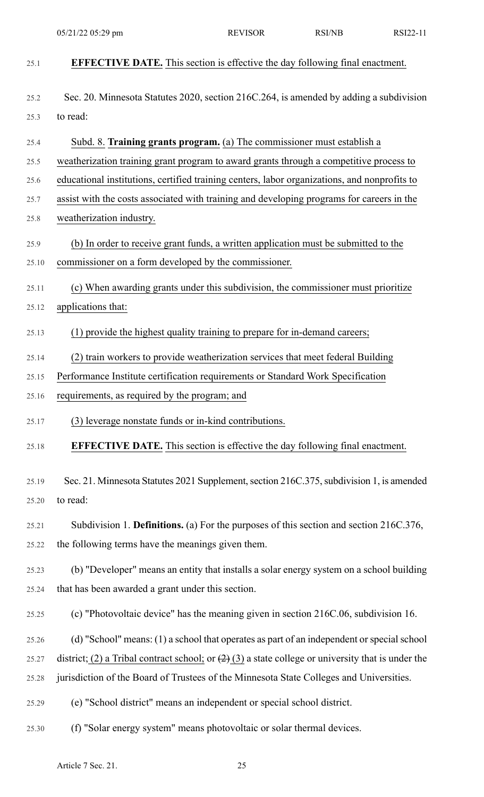| 25.1  | <b>EFFECTIVE DATE.</b> This section is effective the day following final enactment.                  |
|-------|------------------------------------------------------------------------------------------------------|
| 25.2  | Sec. 20. Minnesota Statutes 2020, section 216C.264, is amended by adding a subdivision               |
| 25.3  | to read:                                                                                             |
| 25.4  | Subd. 8. Training grants program. (a) The commissioner must establish a                              |
| 25.5  | weatherization training grant program to award grants through a competitive process to               |
| 25.6  | educational institutions, certified training centers, labor organizations, and nonprofits to         |
| 25.7  | assist with the costs associated with training and developing programs for careers in the            |
| 25.8  | weatherization industry.                                                                             |
| 25.9  | (b) In order to receive grant funds, a written application must be submitted to the                  |
| 25.10 | commissioner on a form developed by the commissioner.                                                |
| 25.11 | (c) When awarding grants under this subdivision, the commissioner must prioritize                    |
| 25.12 | applications that:                                                                                   |
| 25.13 | (1) provide the highest quality training to prepare for in-demand careers;                           |
| 25.14 | (2) train workers to provide weatherization services that meet federal Building                      |
| 25.15 | Performance Institute certification requirements or Standard Work Specification                      |
| 25.16 | requirements, as required by the program; and                                                        |
| 25.17 | (3) leverage nonstate funds or in-kind contributions.                                                |
| 25.18 | EFFECTIVE DATE. This section is effective the day following final enactment.                         |
| 25.19 | Sec. 21. Minnesota Statutes 2021 Supplement, section 216C.375, subdivision 1, is amended             |
| 25.20 | to read:                                                                                             |
| 25.21 | Subdivision 1. Definitions. (a) For the purposes of this section and section 216C.376,               |
| 25.22 | the following terms have the meanings given them.                                                    |
| 25.23 | (b) "Developer" means an entity that installs a solar energy system on a school building             |
| 25.24 | that has been awarded a grant under this section.                                                    |
| 25.25 | (c) "Photovoltaic device" has the meaning given in section 216C.06, subdivision 16.                  |
| 25.26 | (d) "School" means: (1) a school that operates as part of an independent or special school           |
| 25.27 | district; (2) a Tribal contract school; or $(2)$ (3) a state college or university that is under the |
| 25.28 | jurisdiction of the Board of Trustees of the Minnesota State Colleges and Universities.              |
| 25.29 | (e) "School district" means an independent or special school district.                               |
| 25.30 | (f) "Solar energy system" means photovoltaic or solar thermal devices.                               |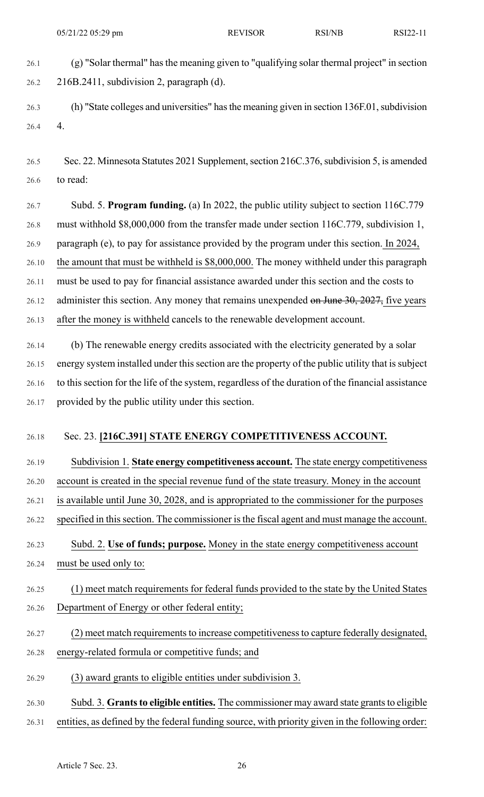26.1 (g) "Solar thermal" hasthe meaning given to "qualifying solar thermal project" in section 26.2 216B.2411, subdivision 2, paragraph (d).

26.3 (h) "State colleges and universities" has the meaning given in section 136F.01, subdivision 26.4 4.

26.5 Sec. 22. Minnesota Statutes 2021 Supplement, section 216C.376, subdivision 5, is amended 26.6 to read:

26.7 Subd. 5. **Program funding.** (a) In 2022, the public utility subject to section 116C.779 26.8 must withhold \$8,000,000 from the transfer made under section 116C.779, subdivision 1, 26.9 paragraph (e), to pay for assistance provided by the program under this section. In 2024, 26.10 the amount that must be withheld is \$8,000,000. The money withheld under this paragraph 26.11 must be used to pay for financial assistance awarded under this section and the costs to 26.12 administer this section. Any money that remains unexpended on June 30, 2027, five years 26.13 after the money is withheld cancels to the renewable development account.

26.14 (b) The renewable energy credits associated with the electricity generated by a solar 26.15 energy system installed under this section are the property of the public utility that is subject 26.16 to this section for the life of the system, regardless of the duration of the financial assistance 26.17 provided by the public utility under this section.

#### 26.18 Sec. 23. **[216C.391] STATE ENERGY COMPETITIVENESS ACCOUNT.**

- 26.19 Subdivision 1. **State energy competitiveness account.** The state energy competitiveness 26.20 account is created in the special revenue fund of the state treasury. Money in the account 26.21 is available until June 30, 2028, and is appropriated to the commissioner for the purposes 26.22 specified in this section. The commissioner is the fiscal agent and must manage the account.
- 26.23 Subd. 2. **Use of funds; purpose.** Money in the state energy competitiveness account 26.24 must be used only to:
- 26.25 (1) meet match requirements for federal funds provided to the state by the United States 26.26 Department of Energy or other federal entity;
- 26.27 (2) meet match requirements to increase competitiveness to capture federally designated, 26.28 energy-related formula or competitive funds; and
- 26.29 (3) award grants to eligible entities under subdivision 3.
- 26.30 Subd. 3. **Grantsto eligible entities.** The commissioner may award state grantsto eligible 26.31 entities, as defined by the federal funding source, with priority given in the following order: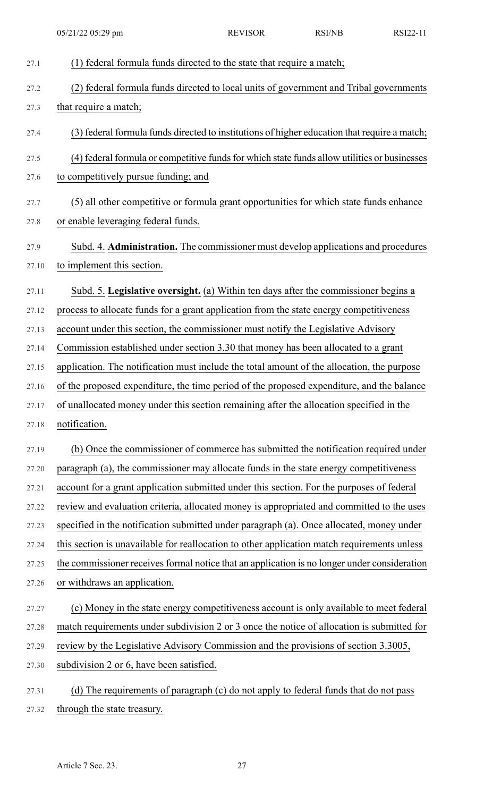| 27.1  | (1) federal formula funds directed to the state that require a match;                        |
|-------|----------------------------------------------------------------------------------------------|
| 27.2  | (2) federal formula funds directed to local units of government and Tribal governments       |
| 27.3  | that require a match;                                                                        |
| 27.4  | (3) federal formula funds directed to institutions of higher education that require a match; |
| 27.5  | (4) federal formula or competitive funds for which state funds allow utilities or businesses |
| 27.6  | to competitively pursue funding; and                                                         |
| 27.7  | (5) all other competitive or formula grant opportunities for which state funds enhance       |
| 27.8  | or enable leveraging federal funds.                                                          |
| 27.9  | Subd. 4. Administration. The commissioner must develop applications and procedures           |
| 27.10 | to implement this section.                                                                   |
| 27.11 | Subd. 5. Legislative oversight. (a) Within ten days after the commissioner begins a          |
| 27.12 | process to allocate funds for a grant application from the state energy competitiveness      |
| 27.13 | account under this section, the commissioner must notify the Legislative Advisory            |
| 27.14 | Commission established under section 3.30 that money has been allocated to a grant           |
| 27.15 | application. The notification must include the total amount of the allocation, the purpose   |
| 27.16 | of the proposed expenditure, the time period of the proposed expenditure, and the balance    |
| 27.17 | of unallocated money under this section remaining after the allocation specified in the      |
| 27.18 | notification.                                                                                |
| 27.19 | (b) Once the commissioner of commerce has submitted the notification required under          |
| 27.20 | paragraph (a), the commissioner may allocate funds in the state energy competitiveness       |
| 27.21 | account for a grant application submitted under this section. For the purposes of federal    |
| 27.22 | review and evaluation criteria, allocated money is appropriated and committed to the uses    |
| 27.23 | specified in the notification submitted under paragraph (a). Once allocated, money under     |
| 27.24 | this section is unavailable for reallocation to other application match requirements unless  |
| 27.25 | the commissioner receives formal notice that an application is no longer under consideration |
| 27.26 | or withdraws an application.                                                                 |
| 27.27 | (c) Money in the state energy competitiveness account is only available to meet federal      |
| 27.28 | match requirements under subdivision 2 or 3 once the notice of allocation is submitted for   |
| 27.29 | review by the Legislative Advisory Commission and the provisions of section 3.3005,          |
| 27.30 | subdivision 2 or 6, have been satisfied.                                                     |
| 27.31 | (d) The requirements of paragraph (c) do not apply to federal funds that do not pass         |

27.32 through the state treasury.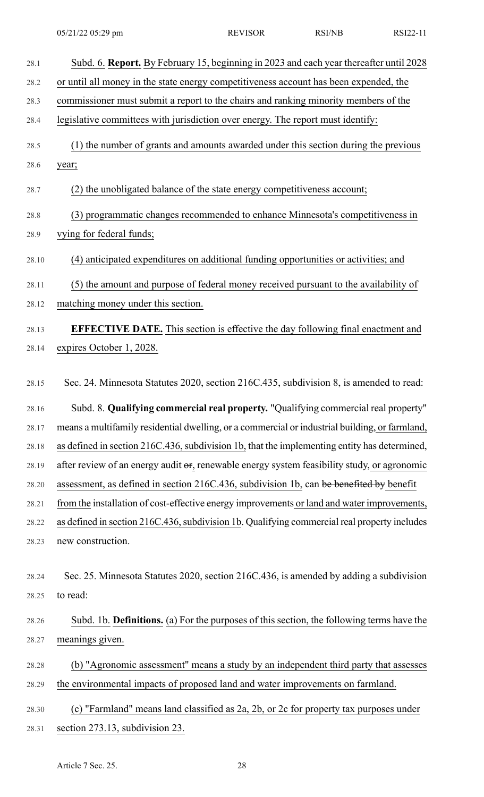| 28.1  | Subd. 6. Report. By February 15, beginning in 2023 and each year thereafter until 2028         |
|-------|------------------------------------------------------------------------------------------------|
| 28.2  | or until all money in the state energy competitiveness account has been expended, the          |
| 28.3  | commissioner must submit a report to the chairs and ranking minority members of the            |
| 28.4  | legislative committees with jurisdiction over energy. The report must identify:                |
| 28.5  | (1) the number of grants and amounts awarded under this section during the previous            |
| 28.6  | year;                                                                                          |
| 28.7  | (2) the unobligated balance of the state energy competitiveness account;                       |
| 28.8  | (3) programmatic changes recommended to enhance Minnesota's competitiveness in                 |
| 28.9  | vying for federal funds;                                                                       |
| 28.10 | (4) anticipated expenditures on additional funding opportunities or activities; and            |
| 28.11 | (5) the amount and purpose of federal money received pursuant to the availability of           |
| 28.12 | matching money under this section.                                                             |
| 28.13 | <b>EFFECTIVE DATE.</b> This section is effective the day following final enactment and         |
| 28.14 | expires October 1, 2028.                                                                       |
|       |                                                                                                |
| 28.15 | Sec. 24. Minnesota Statutes 2020, section 216C.435, subdivision 8, is amended to read:         |
|       |                                                                                                |
| 28.16 | Subd. 8. Qualifying commercial real property. "Qualifying commercial real property"            |
| 28.17 | means a multifamily residential dwelling, or a commercial or industrial building, or farmland, |
| 28.18 | as defined in section 216C.436, subdivision 1b, that the implementing entity has determined,   |
| 28.19 | after review of an energy audit or, renewable energy system feasibility study, or agronomic    |
| 28.20 | assessment, as defined in section 216C.436, subdivision 1b, can be benefited by benefit        |
| 28.21 | from the installation of cost-effective energy improvements or land and water improvements,    |
| 28.22 | as defined in section 216C.436, subdivision 1b. Qualifying commercial real property includes   |
| 28.23 | new construction.                                                                              |
|       |                                                                                                |
| 28.24 | Sec. 25. Minnesota Statutes 2020, section 216C.436, is amended by adding a subdivision         |
| 28.25 | to read:                                                                                       |
| 28.26 | Subd. 1b. Definitions. (a) For the purposes of this section, the following terms have the      |
| 28.27 | meanings given.                                                                                |
| 28.28 | (b) "Agronomic assessment" means a study by an independent third party that assesses           |
| 28.29 | the environmental impacts of proposed land and water improvements on farmland.                 |
| 28.30 | (c) "Farmland" means land classified as 2a, 2b, or 2c for property tax purposes under          |
| 28.31 | section 273.13, subdivision 23.                                                                |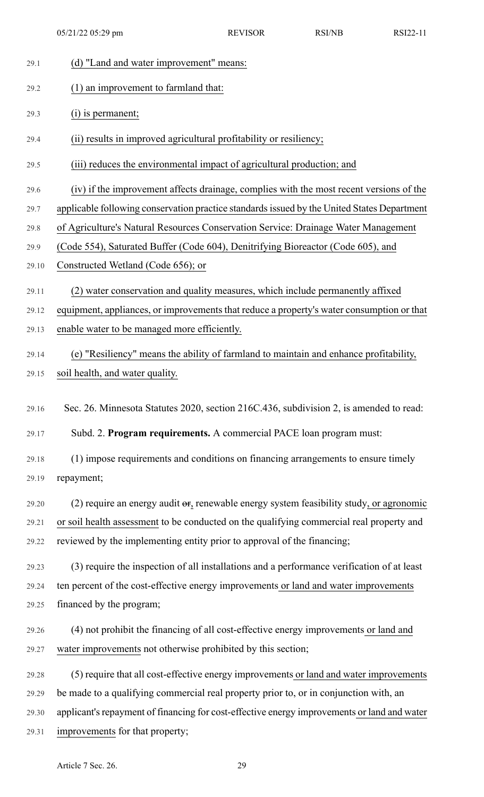| 29.1  | (d) "Land and water improvement" means:                                                        |
|-------|------------------------------------------------------------------------------------------------|
| 29.2  | (1) an improvement to farmland that:                                                           |
| 29.3  | $(i)$ is permanent;                                                                            |
| 29.4  | (ii) results in improved agricultural profitability or resiliency;                             |
| 29.5  | (iii) reduces the environmental impact of agricultural production; and                         |
| 29.6  | (iv) if the improvement affects drainage, complies with the most recent versions of the        |
| 29.7  | applicable following conservation practice standards issued by the United States Department    |
| 29.8  | of Agriculture's Natural Resources Conservation Service: Drainage Water Management             |
| 29.9  | (Code 554), Saturated Buffer (Code 604), Denitrifying Bioreactor (Code 605), and               |
| 29.10 | Constructed Wetland (Code 656); or                                                             |
| 29.11 | (2) water conservation and quality measures, which include permanently affixed                 |
| 29.12 | equipment, appliances, or improvements that reduce a property's water consumption or that      |
| 29.13 | enable water to be managed more efficiently.                                                   |
| 29.14 | (e) "Resiliency" means the ability of farmland to maintain and enhance profitability,          |
| 29.15 | soil health, and water quality.                                                                |
| 29.16 | Sec. 26. Minnesota Statutes 2020, section 216C.436, subdivision 2, is amended to read:         |
| 29.17 | Subd. 2. Program requirements. A commercial PACE loan program must:                            |
| 29.18 | (1) impose requirements and conditions on financing arrangements to ensure timely              |
| 29.19 | repayment;                                                                                     |
| 29.20 | (2) require an energy audit $\sigma$ , renewable energy system feasibility study, or agronomic |
| 29.21 | or soil health assessment to be conducted on the qualifying commercial real property and       |
| 29.22 | reviewed by the implementing entity prior to approval of the financing;                        |
| 29.23 | (3) require the inspection of all installations and a performance verification of at least     |
| 29.24 | ten percent of the cost-effective energy improvements or land and water improvements           |
| 29.25 | financed by the program;                                                                       |
| 29.26 | (4) not prohibit the financing of all cost-effective energy improvements or land and           |
| 29.27 | water improvements not otherwise prohibited by this section;                                   |
| 29.28 | (5) require that all cost-effective energy improvements or land and water improvements         |
| 29.29 | be made to a qualifying commercial real property prior to, or in conjunction with, an          |
| 29.30 | applicant's repayment of financing for cost-effective energy improvements or land and water    |
| 29.31 | improvements for that property;                                                                |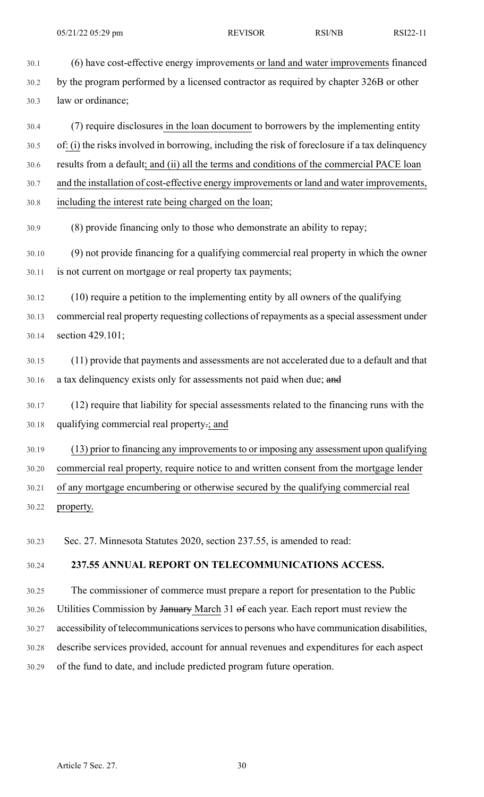30.1 (6) have cost-effective energy improvements or land and water improvements financed 30.2 by the program performed by a licensed contractor as required by chapter 326B or other 30.3 law or ordinance; 30.4 (7) require disclosures in the loan document to borrowers by the implementing entity 30.5 of: (i) the risks involved in borrowing, including the risk of foreclosure if a tax delinquency 30.6 results from a default; and (ii) all the terms and conditions of the commercial PACE loan 30.7 and the installation of cost-effective energy improvements or land and water improvements, 30.8 including the interest rate being charged on the loan; 30.9 (8) provide financing only to those who demonstrate an ability to repay; 30.10 (9) not provide financing for a qualifying commercial real property in which the owner 30.11 is not current on mortgage or real property tax payments; 30.12 (10) require a petition to the implementing entity by all owners of the qualifying 30.13 commercial real property requesting collections of repayments as a special assessment under 30.14 section 429.101; 30.15 (11) provide that payments and assessments are not accelerated due to a default and that

- 30.16 a tax delinquency exists only for assessments not paid when due; and
- 30.17 (12) require that liability for special assessments related to the financing runs with the 30.18 qualifying commercial real property.; and
- 30.19 (13) prior to financing any improvements to or imposing any assessment upon qualifying

30.20 commercial real property, require notice to and written consent from the mortgage lender

30.21 of any mortgage encumbering or otherwise secured by the qualifying commercial real

30.22 property.

30.23 Sec. 27. Minnesota Statutes 2020, section 237.55, is amended to read:

### 30.24 **237.55 ANNUAL REPORT ON TELECOMMUNICATIONS ACCESS.**

30.25 The commissioner of commerce must prepare a report for presentation to the Public

- 30.26 Utilities Commission by January March 31 of each year. Each report must review the
- 30.27 accessibility of telecommunications services to persons who have communication disabilities,
- 30.28 describe services provided, account for annual revenues and expenditures for each aspect
- 30.29 of the fund to date, and include predicted program future operation.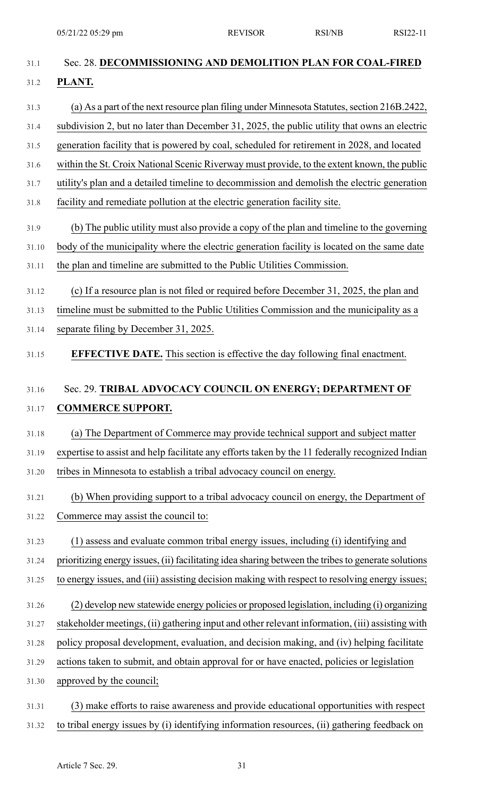| 31.1  | Sec. 28. DECOMMISSIONING AND DEMOLITION PLAN FOR COAL-FIRED                                         |
|-------|-----------------------------------------------------------------------------------------------------|
| 31.2  | PLANT.                                                                                              |
| 31.3  | (a) As a part of the next resource plan filing under Minnesota Statutes, section 216B.2422,         |
| 31.4  | subdivision 2, but no later than December 31, 2025, the public utility that owns an electric        |
| 31.5  | generation facility that is powered by coal, scheduled for retirement in 2028, and located          |
| 31.6  | within the St. Croix National Scenic Riverway must provide, to the extent known, the public         |
| 31.7  | utility's plan and a detailed timeline to decommission and demolish the electric generation         |
| 31.8  | facility and remediate pollution at the electric generation facility site.                          |
| 31.9  | (b) The public utility must also provide a copy of the plan and timeline to the governing           |
| 31.10 | body of the municipality where the electric generation facility is located on the same date         |
| 31.11 | the plan and timeline are submitted to the Public Utilities Commission.                             |
| 31.12 | (c) If a resource plan is not filed or required before December 31, 2025, the plan and              |
| 31.13 | timeline must be submitted to the Public Utilities Commission and the municipality as a             |
| 31.14 | separate filing by December 31, 2025.                                                               |
| 31.15 | <b>EFFECTIVE DATE.</b> This section is effective the day following final enactment.                 |
|       |                                                                                                     |
| 31.16 | Sec. 29. TRIBAL ADVOCACY COUNCIL ON ENERGY; DEPARTMENT OF                                           |
| 31.17 | <b>COMMERCE SUPPORT.</b>                                                                            |
| 31.18 | (a) The Department of Commerce may provide technical support and subject matter                     |
| 31.19 | expertise to assist and help facilitate any efforts taken by the 11 federally recognized Indian     |
| 31.20 | tribes in Minnesota to establish a tribal advocacy council on energy.                               |
| 31.21 | (b) When providing support to a tribal advocacy council on energy, the Department of                |
| 31.22 | Commerce may assist the council to:                                                                 |
| 31.23 | (1) assess and evaluate common tribal energy issues, including (i) identifying and                  |
| 31.24 | prioritizing energy issues, (ii) facilitating idea sharing between the tribes to generate solutions |
| 31.25 | to energy issues, and (iii) assisting decision making with respect to resolving energy issues;      |
| 31.26 | (2) develop new statewide energy policies or proposed legislation, including (i) organizing         |
| 31.27 | stakeholder meetings, (ii) gathering input and other relevant information, (iii) assisting with     |
| 31.28 | policy proposal development, evaluation, and decision making, and (iv) helping facilitate           |
| 31.29 | actions taken to submit, and obtain approval for or have enacted, policies or legislation           |
| 31.30 | approved by the council;                                                                            |
| 31.31 | (3) make efforts to raise awareness and provide educational opportunities with respect              |

31.32 to tribal energy issues by (i) identifying information resources, (ii) gathering feedback on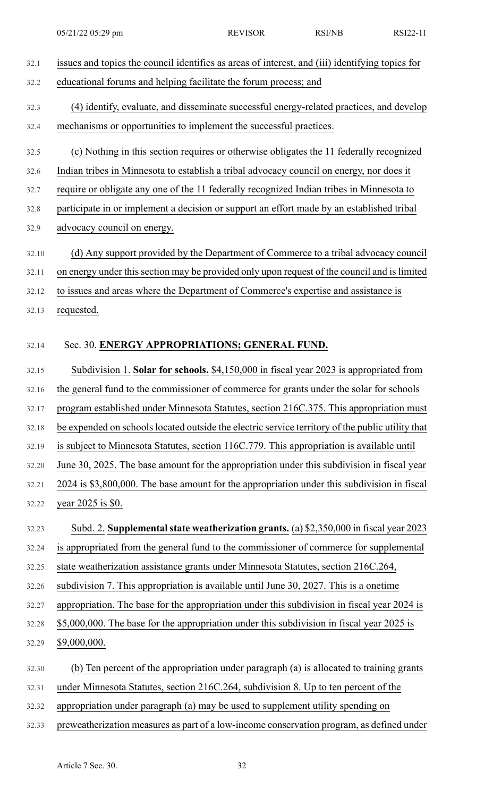| 32.1  | issues and topics the council identifies as areas of interest, and (iii) identifying topics for  |
|-------|--------------------------------------------------------------------------------------------------|
| 32.2  | educational forums and helping facilitate the forum process; and                                 |
| 32.3  | (4) identify, evaluate, and disseminate successful energy-related practices, and develop         |
| 32.4  | mechanisms or opportunities to implement the successful practices.                               |
| 32.5  | (c) Nothing in this section requires or otherwise obligates the 11 federally recognized          |
| 32.6  | Indian tribes in Minnesota to establish a tribal advocacy council on energy, nor does it         |
| 32.7  | require or obligate any one of the 11 federally recognized Indian tribes in Minnesota to         |
| 32.8  | participate in or implement a decision or support an effort made by an established tribal        |
| 32.9  | advocacy council on energy.                                                                      |
| 32.10 | (d) Any support provided by the Department of Commerce to a tribal advocacy council              |
| 32.11 | on energy under this section may be provided only upon request of the council and is limited     |
| 32.12 | to issues and areas where the Department of Commerce's expertise and assistance is               |
| 32.13 | requested.                                                                                       |
| 32.14 | Sec. 30. ENERGY APPROPRIATIONS; GENERAL FUND.                                                    |
| 32.15 | Subdivision 1. Solar for schools. \$4,150,000 in fiscal year 2023 is appropriated from           |
| 32.16 | the general fund to the commissioner of commerce for grants under the solar for schools          |
| 32.17 | program established under Minnesota Statutes, section 216C.375. This appropriation must          |
| 32.18 | be expended on schools located outside the electric service territory of the public utility that |
| 32.19 | is subject to Minnesota Statutes, section 116C.779. This appropriation is available until        |
| 32.20 | June 30, 2025. The base amount for the appropriation under this subdivision in fiscal year       |
| 32.21 | 2024 is \$3,800,000. The base amount for the appropriation under this subdivision in fiscal      |
| 32.22 | year 2025 is \$0.                                                                                |
| 32.23 | Subd. 2. Supplemental state weatherization grants. (a) \$2,350,000 in fiscal year 2023           |
| 32.24 | is appropriated from the general fund to the commissioner of commerce for supplemental           |
| 32.25 | state weatherization assistance grants under Minnesota Statutes, section 216C.264,               |
| 32.26 | subdivision 7. This appropriation is available until June 30, 2027. This is a onetime            |
| 32.27 | appropriation. The base for the appropriation under this subdivision in fiscal year 2024 is      |
| 32.28 | \$5,000,000. The base for the appropriation under this subdivision in fiscal year 2025 is        |
| 32.29 | \$9,000,000.                                                                                     |
| 32.30 | (b) Ten percent of the appropriation under paragraph (a) is allocated to training grants         |
| 32.31 | under Minnesota Statutes, section 216C.264, subdivision 8. Up to ten percent of the              |
| 32.32 | appropriation under paragraph (a) may be used to supplement utility spending on                  |
| 32.33 | preweatherization measures as part of a low-income conservation program, as defined under        |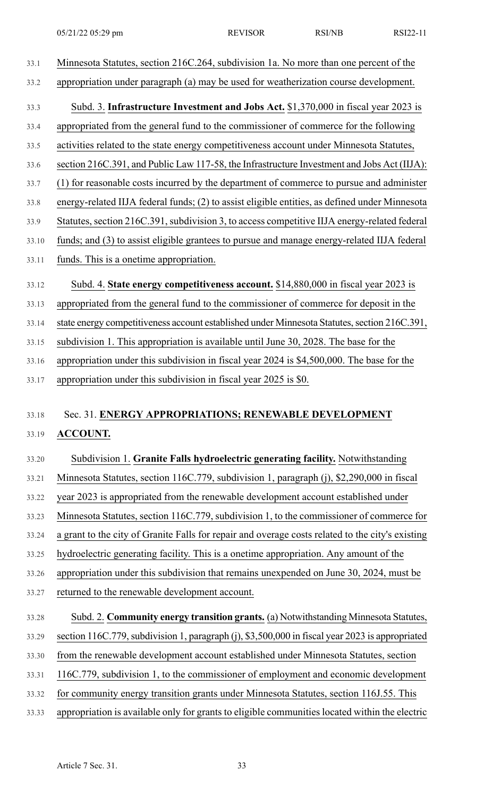- 33.1 Minnesota Statutes, section 216C.264, subdivision 1a. No more than one percent of the 33.2 appropriation under paragraph (a) may be used for weatherization course development. 33.3 Subd. 3. **Infrastructure Investment and Jobs Act.** \$1,370,000 in fiscal year 2023 is 33.4 appropriated from the general fund to the commissioner of commerce for the following 33.5 activities related to the state energy competitiveness account under Minnesota Statutes, 33.6 section 216C.391, and Public Law 117-58, the Infrastructure Investment and Jobs Act (IIJA): 33.7 (1) for reasonable costs incurred by the department of commerce to pursue and administer 33.8 energy-related IIJA federal funds; (2) to assist eligible entities, as defined under Minnesota 33.9 Statutes, section 216C.391, subdivision 3, to access competitive IIJA energy-related federal 33.10 funds; and (3) to assist eligible grantees to pursue and manage energy-related IIJA federal
- 33.11 funds. This is a onetime appropriation.
- 33.12 Subd. 4. **State energy competitiveness account.** \$14,880,000 in fiscal year 2023 is
- 33.13 appropriated from the general fund to the commissioner of commerce for deposit in the
- 33.14 state energy competitiveness account established under Minnesota Statutes, section 216C.391,
- 33.15 subdivision 1. This appropriation is available until June 30, 2028. The base for the
- 33.16 appropriation under this subdivision in fiscal year 2024 is \$4,500,000. The base for the
- 33.17 appropriation under this subdivision in fiscal year 2025 is \$0.

# 33.18 Sec. 31. **ENERGY APPROPRIATIONS; RENEWABLE DEVELOPMENT** 33.19 **ACCOUNT.**

- 33.20 Subdivision 1. **Granite Falls hydroelectric generating facility.** Notwithstanding
- 33.21 Minnesota Statutes, section 116C.779, subdivision 1, paragraph (j), \$2,290,000 in fiscal
- 33.22 year 2023 is appropriated from the renewable development account established under
- 33.23 Minnesota Statutes, section 116C.779, subdivision 1, to the commissioner of commerce for
- 33.24 a grant to the city of Granite Falls for repair and overage costs related to the city's existing
- 33.25 hydroelectric generating facility. This is a onetime appropriation. Any amount of the
- 33.26 appropriation under this subdivision that remains unexpended on June 30, 2024, must be
- 33.27 returned to the renewable development account.
- 33.28 Subd. 2. **Community energy transition grants.** (a) Notwithstanding Minnesota Statutes, 33.29 section 116C.779,subdivision 1, paragraph (j), \$3,500,000 in fiscal year 2023 is appropriated 33.30 from the renewable development account established under Minnesota Statutes, section
- 33.31 116C.779, subdivision 1, to the commissioner of employment and economic development
- 33.32 for community energy transition grants under Minnesota Statutes, section 116J.55. This
- 33.33 appropriation is available only for grants to eligible communities located within the electric